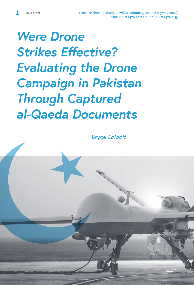*Were Drone Strikes Effective? Evaluating the Drone Campaign in Pakistan Through Captured al-Qaeda Documents*

The Scholar

Bryce Loidolt

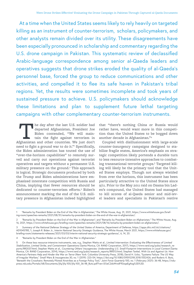At a time when the United States seems likely to rely heavily on targeted killing as an instrument of counter-terrorism, scholars, policymakers, and other analysts remain divided over its utility. These disagreements have been especially pronounced in scholarship and commentary regarding the U.S. drone campaign in Pakistan. This systematic review of declassified Arabic-language correspondence among senior al-Qaeda leaders and operatives suggests that drone strikes eroded the quality of al-Qaeda's personnel base, forced the group to reduce communications and other activities, and compelled it to flee its safe haven in Pakistan's tribal regions. Yet, the results were sometimes incomplete and took years of sustained pressure to achieve. U.S. policymakers should acknowledge these limitations and plan to supplement future lethal targeting campaigns with other complementary counter-terrorism instruments.

The day after the last U.S. soldier had departed Afghanistan, President Joe Biden contended, "We will maintain the fight against terrorism in Afghanistan and other countries. We just don't departed Afghanistan, President Joe Biden contended, "We will maintain the fight against terrorism in need to fight a ground war to do it."1 Specifically, the Biden administration has touted the use of "over-the-horizon capabilities" to remotely surveil and carry out operations against terrorist operatives and targets without a permanent U.S. military presence on the ground.<sup>2</sup> This approach is logical. Strategic documents produced by both the Trump and Biden administrations have emphasized interstate competition with Russia and China, implying that fewer resources should be dedicated to counter-terrorism efforts.3 Biden's announcement marking the end of the U.S. military presence in Afghanistan indeed highlighted

that "there's nothing China or Russia would rather have, would want more in this competition than the United States to be bogged down another decade in Afghanistan."4

Coupled with disillusionment with large-scale counter-insurgency campaigns designed to stabilize fragile states, America's emphasis on strategic competition likely portends a durable turn to less resource-intensive approaches to combating transnational terrorist groups.5 Targeted killing will likely be the primary tool that the United States employs. Though not always wielded from over the horizon, this instrument has been particularly attractive to the United States since 9/11. Prior to the May 2011 raid on Osama bin Laden's compound, the United States had managed to kill scores of al-Qaeda senior and mid-level leaders and specialists in Pakistan's restive

<sup>1 &</sup>quot;Remarks by President Biden on the End of the War in Afghanistan," The White House, Aug. 31, 2021, [https://www.whitehouse.gov/brief](https://www.whitehouse.gov/briefing-room/speeches-remarks/2021/08/31/remarks-by-president-biden-on-the-end-of-the-war-in-afghanistan/)[ing-room/speeches-remarks/2021/08/31/remarks-by-president-biden-on-the-end-of-the-war-in-afghanistan/.](https://www.whitehouse.gov/briefing-room/speeches-remarks/2021/08/31/remarks-by-president-biden-on-the-end-of-the-war-in-afghanistan/)

<sup>2 &</sup>quot;Remarks by President Biden on the End of the War in Afghanistan"; and "Remarks by President Biden on Afghanistan," The White House, Aug. 16, 2021, <https://www.whitehouse.gov/briefing-room/speeches-remarks/2021/08/16/remarks-by-president-biden-on-afghanistan/>.

<sup>3</sup> *Summary of the National Defense Strategy of the United States of America*, Department of Defense, [https://apps.dtic.mil/sti/citations/](https://apps.dtic.mil/sti/citations/AD1045785) [AD1045785,](https://apps.dtic.mil/sti/citations/AD1045785) 1; Joseph R. Biden Jr., *Interim National Security Strategic Guidance*, The White House, March 2021, [https://www.whitehouse.gov/](https://www.whitehouse.gov/briefing-room/statements-releases/2021/03/03/interim-national-security-strategic-guidance/) [briefing-room/statements-releases/2021/03/03/interim-national-security-strategic-guidance/,](https://www.whitehouse.gov/briefing-room/statements-releases/2021/03/03/interim-national-security-strategic-guidance/) 6, 14, 20.

<sup>4 &</sup>quot;Remarks by President Biden on the End of the War in Afghanistan."

<sup>5</sup> On these less resource-intensive instruments, see, e.g., Stephen Watts et al., *Limited Intervention: Evaluating the Effectiveness of Limited Stabilization, Limited Strike, and Containment Operations* (Santa Monica, CA: RAND Corporation, 2017), [https://www.rand.org/pubs/research\\_re](https://www.rand.org/pubs/research_reports/RR2037.html)[ports/RR2037.html](https://www.rand.org/pubs/research_reports/RR2037.html); Stephen Watts et al., *Countering Others' Insurgencies: Understanding U.S. Small-Footprint Interventions in Local Context* (Santa Monica, CA: RAND Corporation, 2014), [https://www.rand.org/pubs/research\\_reports/RR513.html;](https://www.rand.org/pubs/research_reports/RR513.html) Stephen Tankel, *With Us and Against Us: How America's Partners Help and Hinder the War on Terror* (New York: Columbia University Press, 2018); David H. Ucko, "Systems Failure: The US Way of Irregular Warfare," *Small Wars & Insurgencies* 30, no. 1 (2019): 223–54,<https://doi.org/10.1080/09592318.2018.1552426>; and Roderic K. Butz, "Beneath the Crosshairs: Remotely Piloted Airstrikes as a Foreign Policy Tool," *Joint Force Quarterly* 100, no. 1 (February 2021): 36-48, [https://ndu](https://ndupress.ndu.edu/Portals/68/Documents/jfq/jfq-100/jfq-100_36-48_Butz.pdf?ver=SfJeC2dsWwdFf0oqaEgAsg%3D%3D)[press.ndu.edu/Portals/68/Documents/jfq/jfq-100/jfq-100\\_36-48\\_Butz.pdf?ver=SfJeC2dsWwdFf0oqaEgAsg%3D%3D](https://ndupress.ndu.edu/Portals/68/Documents/jfq/jfq-100/jfq-100_36-48_Butz.pdf?ver=SfJeC2dsWwdFf0oqaEgAsg%3D%3D).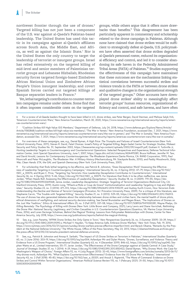northwest frontier through the use of drones.<sup>6</sup> Targeted killing has not just been a component of the U.S. war against al-Qaeda's Pakistan-based leadership. The United States has used this tactic in its campaigns against al-Qaeda's affiliates across South Asia, the Middle East, and Africa, as well as against the Islamic State.7 Nor is the United States the only country to target the leadership of terrorist or insurgent groups. Israel has relied extensively on the targeted killing of mid-level and senior members of Palestinian terrorist groups and Lebanese Hizballah; Rhodesian security forces targeted foreign-based Zimbabwe African National Union and Zimbabwe African People's Union insurgent leadership; and covert Spanish forces carried out targeted killings of Basque separatist leaders in France.<sup>8</sup>

Yet, lethal targeting's contribution to counter-terrorism campaigns remains under debate. Some find that it often imposes considerable costs on the targeted groups, while others argue that it offers more drawbacks than benefits.<sup>9</sup> This disagreement has been particularly apparent in commentary and scholarship related to the drone campaign in Pakistan. Although none have claimed that drone strikes would be sufficient to strategically defeat al-Qaeda, U.S. policymakers have often asserted that drone strikes degraded al-Qaeda's personnel roster, reduced its organizational efficiency and control, and led it to consider abandoning its safe haven in the Federally Administered Tribal Areas (FATA) of Pakistan.<sup>10</sup> Studies supporting the effectiveness of this campaign have maintained that these outcomes are the mechanisms linking statistical correlations between successful strikes and violence trends in the FATA or between drone strikes and qualitative changes in the organizational strength of the targeted groups.<sup>11</sup> Other accounts have downplayed drone strikes' ability to meaningfully affect terrorist groups' human resources, organizational efficiency and control, and safe havens, and have often

8 For overviews of these campaigns, see, e.g., Daniel Byman, *A High Price: The Triumphs and Failures of Israeli Counterterrorism* (New York: Oxford University Press, 2011); Steven R. David, *Fatal Choices: Israel's Policy of Targeted Killing*, Begin-Sadat Center for Strategic Studies, Mideast Security and Policy Studies No. 51, September 2002, https://besacenter.org/wp-content/uploads/2002/09/msps51.pdf; Graham H. Turbiville Jr, *Hunting Leadership Targets in Counterinsurgency and Counterterrorist Operations: Selected Perspectives and Experience*, Defense Technical Information Center, Joint Special Operations University, June 1, 2007, https://apps.dtic.mil/sti/citations/ADA495381; Bruce Hoffman, Jennifer M. Taw, and David Arnold, *Lessons for Contemporary Counterinsurgencies: The Rhodesian Experience* (Santa Monica, CA: RAND Corporation, 1991); Paul Moorcraft and Peter McLaughlin, *The Rhodesian War: A Military History* (Mechanicsburg, PA: Stackpole Books, 2010); and Paddy Woodworth, *Dirty War, Clean Hands: ETA, the GAL and Spanish Democracy* (New York: Cork University Press, 2001).

For scholarship that finds lethal targeting to be effective, see Patrick B. Johnston, "Does Decapitation Work? Assessing the Effectiveness of Leadership Targeting in Counterinsurgency Campaigns," *International Security* 36, no. 4 (Spring 2012): 47–79, [https://doi.org/10.1162/](https://doi.org/10.1162/ISEC_a_00076) [ISEC\\_a\\_00076](https://doi.org/10.1162/ISEC_a_00076); and Bryan C. Price, "Targeting Top Terrorists: How Leadership Decapitation Contributes to Counterterrorism," *International Security* 36, no. 4 (Spring 2012): 9–46, [https://doi.org/10.1162/ISEC\\_a\\_00075.](https://doi.org/10.1162/ISEC_a_00075) For literature that finds it to be often ineffective, see Jenna Jordan, "When Heads Roll: Assessing the Effectiveness of Leadership Decapitation," *Security Studies* 18, no. 4 (2009): 719–55, [https://doi.](https://doi.org/10.1080/09636410903369068) [org/10.1080/09636410903369068](https://doi.org/10.1080/09636410903369068); Jenna Jordan, *Leadership Decapitation: Strategic Targeting of Terrorist Organizations* (Redwood City, CA: Stanford University Press, 2019); Austin Long, "Whack-a-Mole or Coup de Grace? Institutionalization and Leadership Targeting in Iraq and Afghanistan," *Security Studies* 23, no. 3 (2014): 471–512, [https://doi.org/10.1080/09636412.2014.935229;](https://doi.org/10.1080/09636412.2014.935229) and Audrey Kurth Cronin, *How Terrorism Ends: Understanding the Decline and Demise of Terrorist Campaigns* (Princeton, NJ: Princeton University Press, 2009). For a critique of this literature, see Stephanie Carvin, "The Trouble with Targeted Killing," *Security Studies* 21, no. 3 (2012): 529–55, <https://doi.org/10.1080/09636412.2012.706513>. The use of drones has also generated debates about the relationship between drone strikes and civilian harm, the mental health of drone pilots, ethical dimensions of warfighting, and national security decision-making. See Daniel Brunstetter and Megan Braun, "The Implications of Drones on the Just War Tradition," *Ethics & International Affairs* 25, no. 3 (Fall 2011): 337–58, <https://doi.org/10.1017/S0892679411000281>; Wayne Phelps, *On Killing Remotely: The Psychology of Killing with Drones* (New York: Little Brown and Company, 2021); Larry Lewis and Diane Vavrichek, *Rethinking the Drone War: National Security, Legitimacy, and Civilian Casualties in U.S. Counterterrorism Operations* (Quantico, VA: Marine Corps University Press, 2016); and Loren DeJonge Schulman, *Behind the Magical Thinking: Lessons from Policymaker Relationships with Drones*, Center for New America Security, July 2018, [https://www.cnas.org/publications/reports/behind-the-magical-thinking.](https://www.cnas.org/publications/reports/behind-the-magical-thinking)

10 See, e.g., Leon Panetta, "AFPAK Drone Strikes Are Only Game in Town," *New Perspectives Quarterly* 26, no. 3 (Summer 2009): 33–39, [https://](https://doi.org/10.1111/j.1540-5842.2009.01090.x) [doi.org/10.1111/j.1540-5842.2009.01090.x;](https://doi.org/10.1111/j.1540-5842.2009.01090.x) Michael V. Hayden, "To Keep America Safe, Embrace Drone Warfare," *New York Times*, Feb. 19, 2016, <https://www.nytimes.com/2016/02/21/opinion/sunday/drone-warfare-precise-effective-imperfect.html>; and Barack Obama, "Remarks by the President at the National Defense University," The White House, Office of the Press Secretary, May 23, 2013, [https://obamawhitehouse.archives.gov/](https://obamawhitehouse.archives.gov/the-press-office/2013/05/23/remarks-president-national-defense-university) [the-press-office/2013/05/23/remarks-president-national-defense-university](https://obamawhitehouse.archives.gov/the-press-office/2013/05/23/remarks-president-national-defense-university).

11 See, e.g., Patrick B. Johnston and Anoop K. Sarbahi, "The Impact of US Drone Strikes on Terrorism in Pakistan," *International Studies Quarterly* 60, no. 2 (June 2016): 203–19,<https://doi.org/10.1093/isq/sqv004>; Asfandyar Mir and Dylan Moore, "Drones, Surveillance, and Violence: Theory and Evidence from a US Drone Program," *International Studies Quarterly* 63, no. 4 (December 2019): 846–62, <https://doi.org/10.1093/isq/sqz040>; Stephen Watts et al., *Limited Intervention*, 55–77; Javier Jordan, "The Effectiveness of the Drone Campaign against al Qaeda Central: A Case Study," *Journal of Strategic Studies* 37, no. 1 (2014): 4–29, [https://doi.org/10.1080/01402390.2013.850422;](https://doi.org/10.1080/01402390.2013.850422) Daniel Byman, "Why Drones Work: the Case for Washington's Weapon of Choice," *Foreign Affairs* 92, no. 4 (July/August 2013): 32–43, [https://www.foreignaffairs.com/articles/somalia/2013-06-11/](https://www.foreignaffairs.com/articles/somalia/2013-06-11/why-drones-work) [why-drones-work](https://www.foreignaffairs.com/articles/somalia/2013-06-11/why-drones-work); Asfandyar Mir, "What Explains Counterterrorism Effectiveness? Evidence from the US Drone War in Pakistan," *International Security* 43, no. 2 (Fall 2018): 45–83, [https://doi.org/10.1162/isec\\_a\\_00331;](https://doi.org/10.1162/isec_a_00331) and Anouk S. Rigterink, "The Wane of Command: Evidence on Drone Strikes and Control Within Terrorist Organizations," *American Political Science Review* 115, no. 1 (February 2021): 31–50, [https://doi.org/10.1017/](https://doi.org/10.1017/S0003055420000908) [S0003055420000908.](https://doi.org/10.1017/S0003055420000908)

<sup>6</sup> For a review of al-Qaeda leaders thought to have been killed in U.S. drone strikes, see Peter Bergen, David Sterman, and Melissa Salyk-Virk, "America's Counterterrorism Wars," New America Foundation, March 30, 2020, [https://www.newamerica.org/international-security/reports/ameri](https://www.newamerica.org/international-security/reports/americas-counterterrorism-wars/)[cas-counterterrorism-wars/.](https://www.newamerica.org/international-security/reports/americas-counterterrorism-wars/)

<sup>7 &</sup>quot;Coalition Strikes Kill High-Value ISIS Members," Department of Defense, July 24, 2018, [https://www.defense.gov/Explore/News/Article/](https://www.defense.gov/Explore/News/Article/Article/1582868/coalition-strikes-kill-high-value-isis-members/) [Article/1582868/coalition-strikes-kill-high-value-isis-members/;](https://www.defense.gov/Explore/News/Article/Article/1582868/coalition-strikes-kill-high-value-isis-members/) "The War in Yemen," New America Foundation, accessed Dec. 7, 2021, [https://www.](https://www.newamerica.org/international-security/reports/americas-counterterrorism-wars/the-war-in-yemen/) [newamerica.org/international-security/reports/americas-counterterrorism-wars/the-war-in-yemen/](https://www.newamerica.org/international-security/reports/americas-counterterrorism-wars/the-war-in-yemen/); and "The War in Somalia," New America Foundation, accessed Dec. 7, 2021, [https://www.newamerica.org/international-security/reports/americas-counterterrorism-wars/the-war-in-somalia/.](https://www.newamerica.org/international-security/reports/americas-counterterrorism-wars/the-war-in-somalia/)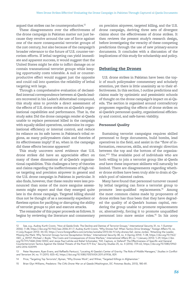argued that strikes can be counterproductive.<sup>12</sup>

These disagreements over the effectiveness of the drone campaign in Pakistan matter not just because they revolve around the use of force against one of the more consequential terrorist groups of the 21st century, but also because of the campaign's broader relevance to the future of U.S. counter-terrorism efforts. If lethal targeting can yield immediate and apparent success, it would suggest that the United States might be able to inflict damage on or contain transnational terrorist groups while keeping opportunity costs tolerable. A null or counterproductive effect would suggest just the opposite and could call into question the reliability of lethal targeting writ large.

Through a comprehensive evaluation of declassified internal correspondence between al-Qaeda leaders recovered in bin Laden's Abbottabad compound, this study aims to provide a direct assessment of the effects of U.S. drone strikes on al-Qaeda's organizational capabilities and performance. That is, the study asks: Did the drone campaign render al-Qaeda unable to replace personnel killed in the campaign with equally skilled operatives, undermine its organizational efficiency or internal control, and reduce its reliance on its safe haven in Pakistan's tribal regions, as many policymakers claim and theories of its effectiveness imply? If so, when in the campaign did these effects become apparent?

This study uncovers novel evidence that U.S. drone strikes did have an appreciable effect on many of these dimensions of al-Qaeda's organizational capabilities. This challenges a bevy of theories and claims regarding the ineffectiveness of high-value targeting and precision airpower in general and the U.S. drone campaign in Pakistan in particular. It also finds, however, that these results were less pronounced than some of the more sanguine assessments might expect and that they emerged quite late in the drone campaign. Targeted killing should thus not be thought of as a necessarily expedient or flawless option for pacifying or disrupting the ability of terrorist groups to plot and execute attacks.

The remainder of this paper proceeds as follows. It begins by reviewing the literature and commentary on precision airpower, targeted killing, and the U.S. drone campaign, deriving three sets of divergent claims about the effectiveness of drone strikes. It then reviews the present study's research design, before investigating the veracity of these competing predictions through the use of new primary-source documents. It concludes with a discussion of the implications of this study for scholarship and policy.

## **Debating the Drones**

U.S. drone strikes in Pakistan have been the topic of much policymaker commentary and scholarly attention, yet there is little unanimity as to their effectiveness. In this section, I outline predictions and claims made by optimistic and pessimistic schools of thought on the drone campaign's impact on al-Qaeda. The section is organized around contradictory prognoses regarding the effects of drone strikes on al-Qaeda's personnel quality, organizational efficiency and control, and safe-haven viability.

#### **Personnel Quality**

Sustaining terrorist campaigns requires skilled personnel to forge documents, build bombs, lead operatives in the field, and assist in the "flow of information, resources, skills, and strategic direction between the top and the bottom of the organization."<sup>13</sup> The available pool of individuals who are both willing to join a terrorist group like al-Qaeda *and* have these important skillsets will naturally be limited. There are disagreements regarding whether drone strikes have been truly able to drain al-Qaeda's pool of talented cadres.

Many have found that personnel turnover caused by lethal targeting can force a terrorist group to promote less-qualified replacements.<sup>14</sup> Among the most common claims made by proponents of drone strikes has thus been that they have degraded the quality of al-Qaeda's human capital, rendering the group unable to promote replacements or, alternatively, forcing it to promote unqualified personnel into more senior roles.15 In his 2009

<sup>12</sup> See, e.g., Audrey Kurth Cronin, "How al-Qaida Ends: The Decline and Demise of Terrorist Groups," *International Security* 31, no. 1 (Summer 2006): 7–48, [https://doi.org/10.1162/isec.2006.31.1.7;](https://doi.org/10.1162/isec.2006.31.1.7) Audrey Kurth Cronin, "Why Drones Fail: When Tactics Drive Strategy," *Foreign Affairs* 92, no. 4 (July/August 2013): 44–54, <https://www.foreignaffairs.com/articles/somalia/2013-06-11/why-drones-fail>; Jenna Jordan, "Attacking the Leader, Missing the Mark: Why Terrorist Groups Survive Decapitation Strikes," *International Security* 38, no. 4 (Spring 2014): 7–38, [https://doi.org/10.1162/](https://doi.org/10.1162/ISEC_a_00157) [ISEC\\_a\\_00157;](https://doi.org/10.1162/ISEC_a_00157) Michael J. Boyle, "The Costs and Consequences of Drone Warfare," *International Affairs* 89, no. 1 (January 2013): 1–29, [https://doi.](https://doi.org/10.1111/1468-2346.12002) [org/10.1111/1468-2346.12002](https://doi.org/10.1111/1468-2346.12002); and Jesse Paul Lehrke and Rahel Schomaker, "Kill, Capture, or Defend? The Effectiveness of Specific and General Counterterrorism Tactics Against the Global Threats of the Post-9/11 Era," *Security Studies* 25, no. 4 (2016): 729–62, [https://doi.org/10.1080/0963](https://doi.org/10.1080/09636412.2016.1220199) [6412.2016.1220199.](https://doi.org/10.1080/09636412.2016.1220199)

<sup>13</sup> Peter Neumann, Ryan Evans, and Raffaello Pantucci, "Locating Al Qaeda's Center of Gravity: The Role of Middle Managers," *Studies in Conflict and Terrorism* 34, no. 11 (2011): 825–42,<https://doi.org/10.1080/1057610X.2011.611936>, 829.

<sup>14</sup> Price, "Targeting Top Terrorists"; Byman, "Why Drones Work"; and Wilner, "Targeted Killings in Afghanistan."

<sup>15</sup> Brian Glyn Williams, *Predators: The CIA's Drone War on al Qaeda* (Washington, DC: Potomac Books, 2013), 180–81.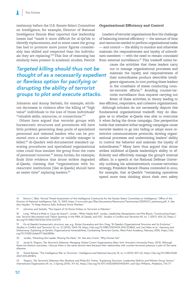testimony before the U.S. Senate Select Committee on Intelligence, for example, Director of National Intelligence Dennis Blair reported that leadership losses had "made it more difficult for al-Qa'ida to identify replacements, and in some cases the group has had to promote more junior figures considerably less skilled and respected than the individuals they are replacing."<sup>16</sup> This line of reasoning has similarly been present in academic studies. Patrick

## *Targeted killing should thus not be thought of as a necessarily expedient or flawless option for pacifying or disrupting the ability of terrorist groups to plot and execute attacks.*

Johnston and Anoop Sarbahi, for example, attribute decreases in violence after the killing of "high value" individuals to the loss of those individuals' "valuable skills, resources, or connections."<sup>17</sup>

Others have argued that terrorist groups with bureaucratic structures and procedures will have little problem generating deep pools of specialized personnel and talented leaders who can be promoted once a senior leader or middle manager is killed.18 Al-Qaeda's well-documented standard operating procedures and specialized organizational roles could thus insulate the group from the costs of personnel turnover.<sup>19</sup> Jenna Jordan, for example, finds little evidence that drone strikes degraded al-Qaeda, claiming that "organizations with bureaucratic institutions [like al-Qaeda] should have an easier time" replacing leaders.<sup>20</sup>

## **Organizational Efficiency and Control**

Leaders of terrorist organizations face the challenge of balancing internal efficiency — the amount of time and resources needed to perform organizational tasks — and control — the ability to monitor and otherwise maintain the responsiveness and loyalty of subordinate members — with the need to remain concealed from external surveillance.<sup>21</sup> This tradeoff exists be-

> cause the activities that these leaders carry out to manage organizational processes and maintain the loyalty and responsiveness of their subordinates produce detectible intelligence signatures, in turn putting these leaders in the crosshairs of states conducting counter-terrorist efforts.<sup>22</sup> Avoiding counter-terrorist surveillance thus requires carrying out fewer of these activities, in theory leading to

less efficient, responsive, and cohesive organizations.

Although scholars do not necessarily dispute this fundamental organizational tradeoff, they do disagree as to whether al-Qaeda was able to overcome it when facing the drone campaign. One perspective holds that intensive lethal targeting campaigns cause terrorist leaders to go into hiding or adopt more restrictive communications protocols, slowing organizational processes and undermining leaders' ability to control the behavior and maintain the loyalty of subordinates.<sup>23</sup> Many have thus argued that drone strikes inhibited al-Qaeda leadership's ability to efficiently and effectively manage the group's internal affairs. In a speech at the National Defense University outlining his administration's counter-terrorism strategy, President Barack Obama contended in 2010, for example, that al-Qaeda's "remaining operatives spend more time thinking about their own safety

<sup>16</sup> Dennis C. Blair, "Annual Threat Assessment of the Intelligence Community for the Senate Select Committee on Intelligence," Office of the Director of National Intelligence, Feb. 12, 2009, [https://www.odni.gov/files/documents/Newsroom/Testimonies/20090212\\_testimony.pdf,](https://www.odni.gov/files/documents/Newsroom/Testimonies/20090212_testimony.pdf) 4. See also Hayden, "To Keep America Safe, Embrace Drone Warfare."

<sup>17</sup> Johnston and Sarbahi, "The Impact of US Drone Strikes on Terrorism in Pakistan."

<sup>18</sup> Long, "Whack-a-Mole or Coup de Grace?"; Jordan, "When Heads Roll"; Jordan, *Leadership Decapitation*; and Mia Bloom, "Constructing Expertise: Terrorist Recruitment and 'Talent Spotting' in the PIRA, Al Qaeda, and ISIS," *Studies in Conflict and Terrorism* 40, no. 7 (2017): 603–23, [https://](https://doi.org/10.1080/1057610X.2016.1237219) [doi.org/10.1080/1057610X.2016.1237219](https://doi.org/10.1080/1057610X.2016.1237219).

<sup>19</sup> On al-Qaeda's bureaucratic structure, see, e.g., Rohan Gunaratna and Aviv Oreg, "Al Qaeda's Organizational Structure and Its Evolution," *Studies in Conflict and Terrorism* 33, no. 12 (2010): 1043–78, [https://doi.org/10.1080/1057610X.2010.523860;](https://doi.org/10.1080/1057610X.2010.523860) and Joe Felter et al., *Harmony and Disharmony: Exploiting al-Qa'ida's Organizational Vulnerabilities*, Combatting Terrorism Center, West Point Academy, February 2006, https://doi. org/10.21428/cb6ab371.6b62808e.

<sup>20</sup> Jordan, "Attacking the Leader, Missing the Mark," 34. See also Cronin, "Why Drones Fail."

<sup>21</sup> Jacob N. Shapiro, *The Terrorist's Dilemma: Managing Violent Covert Organizations* (New York: Princeton University Press, 2013). Although these are distinct outcomes, I discuss them in the same section here because their relationship with counter-terrorism pressure is part of the same dilemma.

<sup>22</sup> Daniel Byman, "The Intelligence War on Terrorism," *Intelligence and National Security* 29, no. 6 (2014): 837–63, [https://doi.org/10.1080/0268](https://doi.org/10.1080/02684527.2013.851876) [4527.2013.851876](https://doi.org/10.1080/02684527.2013.851876).

<sup>23</sup> Shapiro, *The Terrorist's Dilemma*; Max Abrahms and Philip B.K. Potter, "Explaining Terrorism: Leadership Deficits and Militant Group Tactics," *International Organization* 69, no. 2 (Spring 2015): 311–42, <https://doi.org/10.1017/S0020818314000411>; and Glyn Williams, *Predators*, 176–77.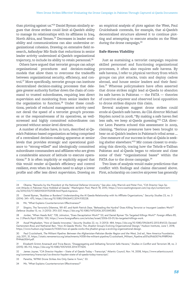than plotting against us."24 Daniel Byman similarly argues that drone strikes could limit al-Qaeda's ability to manage its relationships with its affiliates in Iraq, North Africa, and Yemen.<sup>25</sup> Decreases in leader availability and communications can also undermine organizational cohesion. Drawing on extensive field research, Asfandyar Mir finds that reductions in senior leader activity undermined al-Qaeda's organizational trajectory, to include its ability to retain personnel.<sup>26</sup>

Others have argued that terrorist groups can adopt organizational procedures and decision-making models that allow them to overcome the tradeoffs between organizational security, efficiency, and control.<sup>27</sup> More specifically, terrorist groups can institute decentralized decision-making processes that delegate greater authority further down the chain of command to trusted subordinates, requiring less direct supervision and monitoring from senior leaders for the organization to function.<sup>28</sup> Under these conditions, periods of reduced management activity need not derail the speed of a terrorist group's processes or the responsiveness of its operatives, as wellscreened and highly committed subordinates can proceed without senior-level direction.

A number of studies have, in turn, described al-Qaeda's Pakistan-based organization as being comprised of a centralized decision-making apparatus at senior levels that provides strategic and operational guidance to "strong-willed" and ideologically committed subordinate commanders and affiliates who are given a considerable amount of latitude to execute operations.<sup>29</sup> It is often implicitly or explicitly argued that this would render al-Qaeda's efficiency and control resilient, even when its leaders need to adopt a lower profile and offer less direct supervision. Drawing on an empirical analysis of plots against the West, Paul Cruickshank contends, for example, that al-Qaeda's decentralized structure allowed it to continue plotting and attempting to execute attacks on the West during the drone campaign.<sup>30</sup>

#### **Safe-Haven Viability**

Just as sustaining a terrorist campaign requires skilled personnel and functioning organizational processes, it often also requires safe havens. By safe havens, I refer to physical territory from which groups can plot attacks, train and deploy cadres abroad, and house senior leaders and their families.<sup>31</sup> Whereas policymakers have often asserted that drone strikes might lead al-Qaeda to abandon its safe haven in Pakistan — the FATA — theories of coercive airpower and observed local opposition to drone strikes dispute this claim.

Several analyses suggest drone strikes could erode al-Qaeda's safe haven. As CIA director Michael Hayden noted in 2008, "By making a safe haven feel less safe, we keep al-Qaeda guessing."<sup>32</sup> CIA director Leon Panetta echoed this assessment in 2009, claiming, "Serious pressures have been brought to bear on al-Qaida's leaders in Pakistan's tribal areas … . One measure of our success is that al-Qaida is seeking shelter elsewhere."33 Mir comes closest to evaluating this directly, tracing how the Tehrik-e-Taliban Pakistan and al-Qaeda began to relocate and close some of their "organizational bases" within the FATA due to the drone campaign.<sup>34</sup>

Two lines of analysis would make predictions that conflict with findings and claims discussed above. First, scholarship on coercive airpower has generally

28 Jordan, "When Heads Roll," 728; Johnston, "Does Decapitation Work?" 53; and Daniel Byman "Do Targeted Killings Work?" *Foreign Affairs* 85, no. 2 (March/April 2006): 100, [https://www.foreignaffairs.com/articles/israel/2006-03-01/do-targeted-killings-work.](https://www.foreignaffairs.com/articles/israel/2006-03-01/do-targeted-killings-work)

29 Assaf Moghadam, "How al Qaeda Innovates," *Security Studies* 22, no. 3 (2013): 484, <https://doi.org/10.1080/09636412.2013.816123>; Daveed Gartenstein-Ross and Nathaniel Barr, "How Al-Qaeda Works: The Jihadist Group's Evolving Organizational Design," Hudson Institute, June 1, 2018, <https://www.hudson.org/research/14365-how-al-qaeda-works-the-jihadist-group-s-evolving-organizational-design>.

Paul Cruickshank, The Militant Pipeline: Between the Afghanistan-Pakistan Border Region and the West, 2nd ed., New America Foundation, July 2011, 31, [https://static.newamerica.org/attachments/4358-the-militant-pipeline/Cruickshank\\_Militant\\_Pipeline.a051a39dd3074c998ff04d](https://static.newamerica.org/attachments/4358-the-militant-pipeline/Cruickshank_Militant_Pipeline.a051a39dd3074c998ff04df944ab3064.pdf)[f944ab3064.pdf.](https://static.newamerica.org/attachments/4358-the-militant-pipeline/Cruickshank_Militant_Pipeline.a051a39dd3074c998ff04df944ab3064.pdf)

- 31 Elizabeth Grimm Arsenault and Tricia Bacon, "Disaggregating and Defeating Terrorist Safe Havens," *Studies in Conflict and Terrorism* 38, no. 2 (2015): 85–112, [https://doi.org/10.1080/1057610X.2014.977605.](https://doi.org/10.1080/1057610X.2014.977605)
- 32 James Joyner, "CIA Director Hayden State of al Qaeda Today Transcript," Atlantic Council*,* Nov. 14, 2008, [https://www.atlanticcouncil.](https://www.atlanticcouncil.org/commentary/transcript/cia-director-hayden-state-of-al-qaeda-today-transcript/) [org/commentary/transcript/cia-director-hayden-state-of-al-qaeda-today-transcript/](https://www.atlanticcouncil.org/commentary/transcript/cia-director-hayden-state-of-al-qaeda-today-transcript/).
- 33 Panetta, "AFPAK Drone Strikes Are Only Game in Town," 33.
- 34 Mir, "What Explains Counterterrorism Effectiveness?"

<sup>24</sup> Obama, "Remarks by the President at the National Defense University." See also Joby Warrick and Peter Finn, "CIA Director Says Secret Attacks in Pakistan Have Hobbled al-Qaeda," *Washington Post*, March 18, 2010, [https://www.washingtonpost.com/wp-dyn/content/arti](https://www.washingtonpost.com/wp-dyn/content/article/2010/03/17/AR2010031702558.html?hpid=topnews)[cle/2010/03/17/AR2010031702558.html?hpid=topnews.](https://www.washingtonpost.com/wp-dyn/content/article/2010/03/17/AR2010031702558.html?hpid=topnews)

<sup>25</sup> Daniel Byman, "Buddies or Burdens? Understanding the Al Qaeda Relationship with Its Affiliate Organizations," *Security Studies* 23, no. 3 (2014): 341– 470, [https://doi.org/10.1080/09636412.2014.935228.](https://doi.org/10.1080/09636412.2014.935228)

<sup>26</sup> Mir, "What Explains Counterterrorism Effectiveness?"

<sup>27</sup> Shapiro, The Terrorist's Dilemma, 181–87; and Keith Patrick Dear, "Beheading the Hyrdra? Does Killing Terrorist or Insurgent Leaders Work?" *Defence Studies* 13, no. 3 (2013): 293–337, [https://doi.org/10.1080/14702436.2013.845383.](https://doi.org/10.1080/14702436.2013.845383)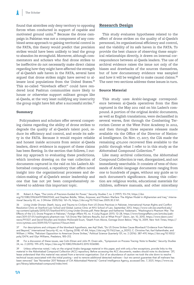found that airstrikes only deny territory to opposing forces when conducted in support of capable and motivated ground units.35 Because the drone campaign in Pakistan was not a component of any combined-arms approach to gaining territorial control in the FATA, this theory would predict that precision strikes would have been unlikely to lead the group to abandon its stronghold. Moreover, although commentators and scholars who find drone strikes to be ineffective do not necessarily make direct claims regarding how they might have affected the strength of al-Qaeda's safe haven in the FATA, several have argued that drone strikes might have served to alienate local populations from the United States.<sup>36</sup> This so-called "blowback effect" could have rendered local Pashtun communities more likely to house or otherwise support militant groups like al-Qaeda, at the very least nullifying any insecurity the group might have felt after a successful strike.<sup>37</sup>

## **Summary**

Policymakers and scholars offer several competing claims regarding the ability of drone strikes to degrade the quality of al-Qaeda's talent pool, reduce its efficiency and control, and erode its safety in the FATA. Because it would require reliable and honest inside accounts from senior al-Qaeda leaders, direct evidence in support of these claims has been fleeting. In the section that follows, I outline my approach to evaluating these predictions, which involves drawing on the vast collection of documents captured in the raid on bin Laden's Abbottabad compound, a repository that offers novel insight into the organizational processes and decision-making of al-Qaeda's senior leadership and one that has not yet been comprehensively reviewed to address this important topic.

## **Research Design**

This study evaluates hypotheses related to the effect of drone strikes on the quality of al-Qaeda's personnel, its organizational efficiency and control, and the viability of its safe haven in the FATA. To provide the best chance of observing these empirical relationships directly, it draws on internal correspondence between al-Qaeda leaders. The use of archival evidence raises the issue not only of the biases and drawbacks of the sources themselves, but of how documentary evidence was sampled and how it will be weighed to make causal claims.<sup>38</sup> The next two sections address these issues in turn.

#### **Source Material**

This study uses Arabic-language correspondence between al-Qaeda operatives from the files captured in the May 2011 raid on bin Laden's compound. A portion of the original Arabic documents, as well as English translations, were declassified in several waves, first through the Combatting Terrorism Center at the West Point Academy in 2012, and then through three separate releases made available via the Office of the Director of National Intelligence. On Nov. 17, 2017, the CIA made the remaining 470,000 recovered files available to the public through what I refer to in this study as the Abbottabad Compound Collection.<sup>39</sup>

Like many archival collections, the Abbottabad Compound Collection is vast, disorganized, and not immediately searchable. It consists of tens of thousands of Arabic-language documents ranging from one to hundreds of pages, without any guide as to each document's significance. Among this collection are religious works, educational materials for children, software manuals, and other miscellany

35 Robert A. Pape, "The Limits of Precision-Guided Air Power," *Security Studies* 7, no. 2 (1997): 93–114, [https://doi.](https://doi.org/10.1080/09636419708429343) [org/10.1080/09636419708429343](https://doi.org/10.1080/09636419708429343); and Stephen Biddle, "Allies, Airpower, and Modern Warfare: The Afghan Model in Afghanistan and Iraq," *International Security* 30, no. 3 (Winter 2005/06): 161–76,<https://doi.org/10.1162/isec.2005.30.3.161>.

37 For descriptions and critiques of the blowback hypothesis, see Aqil Shah, "Do US Drone Strikes Cause Blowback? Evidence from Pakistan and Beyond," *International Security* 42, no. 4 (Spring 2018): 47–84, [https://doi.org/10.1162/isec\\_a\\_00312](https://doi.org/10.1162/isec_a_00312); C. Christine Fair, Karl Kaltenthaler, and William J. Miller, "Pakistani Opposition to American Drone Strikes," *Political Science Quarterly* 131, no. 2 (2016): 387–419, [https://doi.org/10.1002/](https://doi.org/10.1002/polq.12474) [polq.12474;](https://doi.org/10.1002/polq.12474) and Glyn Williams, *Predators*, 185–212.

38 For a discussion of these issues, see Colin Elman and John M. Owen eds., "Symposium on Process Tracing: Note to Reader," *Security Studies* 24, no. 2 (2015): 199–375, [https://doi.org/10.1080/09636412.2015.1036580.](https://doi.org/10.1080/09636412.2015.1036580)

<sup>36</sup> *Living Under Drones: Death, Injury, and Trauma to Civilians from US Drone Practices in Pakista*n, International Human Rights and Conflict Resolution Clinic at Stanford Law School and Global Justice Clinic at NYU School of Law, September 2012, [https://www-cdn.law.stanford.edu/](https://www-cdn.law.stanford.edu/wp-content/uploads/2015/07/Stanford-NYU-Living-Under-Drones.pdf) [wp-content/uploads/2015/07/Stanford-NYU-Living-Under-Drones.pdf;](https://www-cdn.law.stanford.edu/wp-content/uploads/2015/07/Stanford-NYU-Living-Under-Drones.pdf) Peter Bergen and Katherine Tiedemann, "Washington's Phantom War: The Effects of the U.S. Drone Program in Pakistan," *Foreign Affairs* 90, no. 4 (July/August 2011): 12–28, [https://www.foreignaffairs.com/articles/paki](https://www.foreignaffairs.com/articles/pakistan/2011-07-01/washingtons-phantom-war)[stan/2011-07-01/washingtons-phantom-war](https://www.foreignaffairs.com/articles/pakistan/2011-07-01/washingtons-phantom-war); "US Drone War Delivers Results, but at What Price?" *Dawn*, Jan. 10, 2010, [https://www.dawn.com/](https://www.dawn.com/news/911327) [news/911327](https://www.dawn.com/news/911327); and David Kilcullen and Andrew McDonald Exum, "Death From Above, Outrage Down Below," May 16, 2009, *New York Times*, [https://](https://www.nytimes.com/2009/05/17/opinion/17exum.html) [www.nytimes.com/2009/05/17/opinion/17exum.html](https://www.nytimes.com/2009/05/17/opinion/17exum.html).

<sup>39</sup> Unless otherwise noted, I rely on the original Arabic-language material in this paper, and with only a few exceptions, provide links to the material in the Abbottabad Compound Collection (ACC) repository. Before accessing the ACC documents, readers should note its disclaimer: "[P] lease understand that this material was seized from a terrorist organization. Out of an abundance of caution we took the site down to resolve technical issues associated with the initial posting – and to remove additional detected malware – but we cannot guarantee that all malware has been removed." See "November 2017 Release of CIA Abbottabad Material," Central Intelligence Agency, accessed Dec. 7, 2021, [https://www.cia.](https://www.cia.gov/library/abbottabad-compound/index.html) [gov/library/abbottabad-compound/index.html](https://www.cia.gov/library/abbottabad-compound/index.html).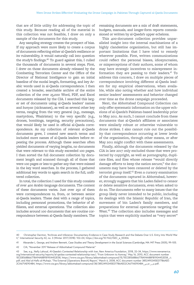that are of little utility for addressing the topic of this study. Because reading all of the material in this collection was not feasible, I draw on only a sample of the documents for this study.

Any sampling strategy creates the prospect of bias. If my approach were more likely to create a corpus of documents reflecting either al-Qaeda's resilience or its vulnerability, it would naturally call into question the study's findings.<sup>40</sup> To guard against this, I culled the thousands of documents in several steps. First, I drew on those documents already released by the Combatting Terrorism Center and the Office of the Director of National Intelligence to gain an initial baseline of the modal length, formatting, and key Arabic words used in al-Qaeda correspondence. I then created a broader, searchable archive of the entire collection of the over 25,000 Word, PDF, and Excel documents released by the CIA. I searched this larger set of documents using al-Qaeda leaders' names and *kunyas* (nicknames), as well as several other key terms, ranging from the very general (e.g., message, martyrdom, Waziristan) to the very specific (e.g., drones, bombings, targeting, security precautions), that would likely be used in official al-Qaeda correspondence. As my collection of relevant al-Qaeda documents grew, I created new search terms and included more names of al-Qaeda leaders before repeating the process. Although these searches often yielded documents of varying lengths, no documents that were relevant to this study exceeded 100 pages. I then sorted the full document collection by document length and scanned through all of those that were 100 pages or less to gather any that were missed in the key word searches. In the process, I gathered additional key words to again search in the full, unfiltered collection.

In total, the collection I used for this study consists of over 400 Arabic-language documents. The content of these documents varies. Just over 250 of them were correspondences to, from, or between senior al-Qaeda leaders. These deal with a range of topics, including personnel promotions, the behavior of affiliates, and external operations. The collection also includes around 100 documents that are routine correspondence between al-Qaeda family members. The

remaining documents are a mix of draft statements, budgets, manuals, and longer-form reports commissioned or written by al-Qaeda's upper echelons.

This 400-document collection provides unparalleled insight into the internal machinations of a highly clandestine organization, but still has important limitations that I have tried to remedy wherever possible. First, written communications could reflect the personal biases, idiosyncrasies, or misperceptions of their authors, some of whom may have strategic incentives to misrepresent information they are passing to their leaders. $41$  To address this concern, I draw on multiple pieces of correspondence involving different al-Qaeda leaders for my empirical observations, when available, while also noting whether and how individual senior leaders' assessments and behavior changed over time as the drone campaign proceeded.

Next, the Abbottabad Compound Collection can only offer systematic information on the upper echelons of al-Qaeda's Pakistan-based leadership prior to May 2011. As such, I cannot conclude from these documents that al-Qaeda's affiliates or associates were similarly robust or otherwise vulnerable to drone strikes. I also cannot rule out the possibility that correspondence occurring at lower levels of the organization, through other means, or after May 2011 might conflict with these assessments.

Finally, although the documents released by the CIA in late 2017 only excluded those that were protected by copyright, as well as pornography, duplicate files, and files whose release "would directly damage efforts to keep the nation secure," the documents may have been censored or deleted by the terrorist group itself.<sup>42</sup> Even a cursory examination of the documents captured in Abbottabad, however, strongly suggests that bin Laden failed to censor or delete sensitive documents, even when asked to do so. The documents refer to many issues that the group likely never intended to be public, including its dealings with the Islamic Republic of Iran, the movement of bin Laden's family members, and preparations for external operations targeting the West.<sup>43</sup> The collection also includes messages and topics that were explicitly marked as "very secret"

<sup>40</sup> Christopher Darnton, "Archives and Inference: Documentary Evidence in Case Study Research and the Debate Over U.S. Entry Into World War II," *International Security* 42, no. 3 (Winter 2017/2018): 102–04, [https://doi.org/10.1162/ISEC\\_a\\_00306](https://doi.org/10.1162/ISEC_a_00306).

<sup>41</sup> Alexander L. George, and Andrew Bennett, *Case Studies and Theory Development in the Social Sciences* (Cambridge, MA: MIT Press 2005), 99–105.

<sup>42</sup> CIA, "November 2017 Release of Abbottabad Compound Material."

<sup>43</sup> See, e.g., Nelly Lahoud, *Al-Qaeda's Contested Relationship with Iran*, New America Foundation, 2018, 32–34, [https://www.newamerica.](https://www.newamerica.org/international-security/reports/al-qaidas-contested-relationship-iran/) [org/international-security/reports/al-qaidas-contested-relationship-iran/](https://www.newamerica.org/international-security/reports/al-qaidas-contested-relationship-iran/); "From Unknown to Azmray," May 16, 2010, ACC document number 1ECE8568B66778A94A88FB1904452E58, [https://www.cia.gov/library/abbottabad-compound/1E/1ECE8568B66778A94A88FB1904452E58\\_](https://www.cia.gov/library/abbottabad-compound/1E/1ECE8568B66778A94A88FB1904452E58_لاز.pdf)الز. [pdf;](https://www.cia.gov/library/abbottabad-compound/1E/1ECE8568B66778A94A88FB1904452E58_لاز.pdf) and Abd al-Hafiz al-Muhajir, "The External [Operations Branch] Report," March 6, 2008, ACC document number 3852490345ED77B6AEE-2CA671AE904B4, [https://www.cia.gov/library/abbottabad-compound/38/3852490345ED77B6AEE2CA671AE904B4\\_](https://www.cia.gov/library/abbottabad-compound/38/3852490345ED77B6AEE2CA671AE904B4_تقرير_الخارجى.pdf)اخلارجى\_تقرير.pdf.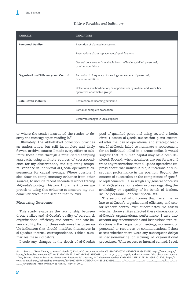## *Table 1: Variables and Indicators*

| <b>VARIABLE</b>                              | <b>INDICATORS</b>                                                                                        |
|----------------------------------------------|----------------------------------------------------------------------------------------------------------|
| <b>Personnel Quality</b>                     | Execution of planned succession                                                                          |
|                                              | Reservations about replacements' qualifications                                                          |
|                                              | General concerns with available bench of leaders, skilled personnel,<br>or other specialists             |
| <b>Organizational Efficiency and Control</b> | Reduction in frequency of meetings, movement of personnel,<br>or communications                          |
|                                              | Defections, insubordination, or opportunism by middle- and lower-tier<br>operatives or affiliated groups |
| Safe-Haven Viability                         | Redirection of incoming personnel                                                                        |
|                                              | Partial or complete evacuation                                                                           |
|                                              | Perceived changes in local support                                                                       |

or where the sender instructed the reader to destroy the message upon reading it.<sup>44</sup>

Ultimately, the Abbottabad collection provides an authoritative, but still incomplete and likely flawed, archival source. I made every effort to minimize these flaws through a multi-tiered sampling approach, using multiple sources of correspondence for my observations, and exploiting temporal variance in individual al-Qaeda operatives' assessments for causal leverage. Where possible, I also draw on complementary evidence from other sources, to include recent secondary works tracing al-Qaeda's post-9/11 history. I turn next to my approach to using this evidence to measure my outcome variables in the section that follows.

## **Measuring Outcomes**

This study evaluates the relationship between drone strikes and al-Qaeda's quality of personnel, organizational efficiency and control, and safe-haven viability. Each of these outcomes has observable indicators that should manifest themselves in al-Qaeda's internal correspondence. Table 1 summarizes these indicators.

I code any changes in the depth of al-Qaeda's

pool of qualified personnel using several criteria. First, I assess al-Qaeda succession plans executed after the loss of operational and strategic leaders. If al-Qaeda failed to nominate a replacement for an individual killed in a drone strike, it would suggest that its human capital may have been depleted. Second, when nominees are put forward, I trace any reservations that al-Qaeda operatives express about that individual's qualifications or subsequent performance in the position. Beyond the context of succession or the competence of specific replacements, I also weigh any general concerns that al-Qaeda senior leaders express regarding the availability or capability of its bench of leaders, skilled personnel, or other specialists.

The second set of outcomes that I examine relate to al-Qaeda's organizational efficiency and senior leaders' control over subordinates. To assess whether drone strikes affected these dimensions of al-Qaeda's organizational performance, I take into account any recommended and institutionalized reductions in the frequency of meetings, movement of personnel or resources, or communications. I then assess whether there were any subsequent delays in decision-making or slowing of organizational procedures. With respect to internal control, I seek

<sup>44</sup> See, e.g., "From Zamray to Younis," March 17, 2010, ACC document number C32390D424573A101D3BCBA92395007E, [https://www.cia.gov/](https://www.cia.gov/library/abbottabad-compound/C3/C32390D424573A101D3BCBA92395007E_الشيخ_يونس_الرسالة_الثانية.pdf) [library/abbottabad-compound/C3/C32390D424573A101D3BCBA92395007E](https://www.cia.gov/library/abbottabad-compound/C3/C32390D424573A101D3BCBA92395007E_الشيخ_يونس_الرسالة_الثانية.pdf)الشيغـــيونس\_الرسالقالثانيقــــــــــــــــــــ<br>Wery Secret – Erase or Erase the Names after Receiving It," Undated, ACC document number B0B78B5F4347E19C71C44 عنـــالشايخــأيضاـــــــــري\_ــللغايةـــيُحذفـــأو\_ـيحذفــــمنمـــالأسما بـــبعد\_2DBDFa347E19C71C44185DB303ED5 الاطلاعــعليه(pdf; and "From Unknown to Azmray," May 16, 2010.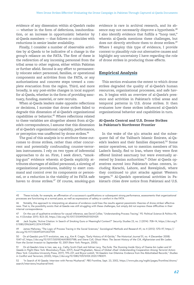evidence of any dissension within al-Qaeda's ranks — whether in the form of defections, insubordination, or an increase in opportunistic behavior by al-Qaeda members — that follows or coincides with reductions in senior leader availability.

Finally, I consider a number of observable activities by al-Qaeda to be indicative of a change in the group's reliance on the FATA. The first of these is the redirection of any incoming personnel from the tribal areas to other regions, either within Pakistan or further afield. Second is any effort to permanently relocate select personnel, families, or operational components and activities from the FATA, or any authorizations and concrete steps toward a complete evacuation from the region. Third, and more broadly, is any post-strike changes in local support for al-Qaeda, whether in the form of providing sanctuary, funding, materiel, or new recruits.

When al-Qaeda leaders make opposite reflections or decisions, I surmise that drone strikes failed to degrade this dimension of al-Qaeda's organizational capabilities or behavior.<sup>45</sup> Where reflections related to these variables are altogether absent from al-Qaeda's correspondence, I assume that this dimension of al-Qaeda's organizational capability, performance, or perception was unaffected by drone strikes.<sup>46</sup>

The goal of this analysis is to attribute these outcomes to drone strikes, rather than other concurrent and potentially confounding counter-terrorism instruments. I rely on two types of inferential approaches to do so. First, I seek direct, "smoking-gun" evidence wherein al-Qaeda explicitly attributes shortages of skilled personnel, a slowing of organizational procedures, inability to exert command and control over its components or personnel, or a reduction in the viability of its FATA safe haven to drone strikes.<sup>47</sup> Of course, smoking-gun

evidence is rare in archival research, and its absence may not necessarily disprove a hypothesis.<sup>48</sup> I also identify evidence that fulfills a "hoop test," wherein al-Qaeda mentions these challenges, but does not directly attribute them to drone strikes.<sup>49</sup> Where I employ this type of evidence, I provide context to plausibly rule out alternative causes and highlight any uncertainty I have regarding the role of drone strikes in producing those effects.

## **Empirical Analysis**

This section evaluates the extent to which drone strikes degraded the quality of al-Qaeda's human resources, organizational processes, and safe haven. It begins with an overview of al-Qaeda's presence and activities in Pakistan's tribal areas and temporal patterns in U.S. drone strikes. It then evaluates how these strikes influenced al-Qaeda's organizational behavior and capabilities in turn.

## **Al-Qaeda Central and U.S. Drone Strikes in Pakistan's Northwest Frontier**

In the wake of the 9/11 attacks and the subsequent fall of the Taliban's Islamic Emirate, al-Qaeda's leaders and their families dispersed.<sup>50</sup> Some senior operatives, not to mention members of bin Laden's family, fled to Iran, where they were first offered limited sanctuary but were eventually arrested by Iranian authorities.<sup>51</sup> Other al-Qaeda operatives moved into Pakistan's urban centers, including Karachi, Lahore, and Rawalpindi, where they continued to plot attacks against Western targets.52 Al-Qaeda's operational activities in Pakistan's cities drew notice from Pakistani and U.S.

<sup>45</sup> These include, for example, an affirmation of a successor's qualifications or subsequent strong performance, assessments that organizational processes are functioning at a normal pace, as well as expressions of safety or comfort in the FATA.

Notably, this approach to interpreting an absence of evidence could bias the results against pessimistic theories of drone strikes' effectiveness. That is, the possibility exists that al-Qaeda was still struggling with these challenges, but simply did not express these difficulties in their internal correspondence.

<sup>47</sup> On the use of qualitative evidence for causal inference, see David Collier, "Understanding Process Tracing," *PS: Political Science & Politics* 44, no. 4 (October 2011): 823–30, [https://doi.org/10.1017/S1049096511001429.](https://doi.org/10.1017/S1049096511001429)

<sup>48</sup> Jack Snyder, "Active Citation: In Search of Smoking Guns or Meaningful Context?" *Security Studies* 23, no. 2 (2014): 708–14, [https://doi.org/1](https://doi.org/10.1080/09636412.2014.970409) [0.1080/09636412.2014.970409.](https://doi.org/10.1080/09636412.2014.970409)

<sup>49</sup> James Mahoney, "The Logic of Process Tracing in the Social Sciences," *Sociological Methods and Research* 41, no 4 (2012): 570–97, [https://](https://doi.org/10.1177/0049124112437709) [doi.org/10.1177/0049124112437709](https://doi.org/10.1177/0049124112437709).

<sup>50</sup> On al-Qaeda's pre-9/11 evolution, see, e.g., Kim R. Cragin, "Early History of Al-Qa'ida," *The Historical Journal* 51, no. 4 (December 2008): 1047–67, [https://doi.org/10.1017/S0018246X08007188;](https://doi.org/10.1017/S0018246X08007188) and Steve Coll, *Ghost Wars: The Secret History of the CIA, Afghanistan and Bin Laden, from the Soviet Invasion to September 10, 2001* (New York: Penguin, 2005).

<sup>51</sup> On al-Qaeda's time in Iran, see, e.g., Cathy Scott-Clark and Adrian Levy, *The Exile: The Stunning Inside Story of Osama bin Laden and Al Qaeda in Flight* (New York: Bloomsbury Press, 2017); Assaf Moghadam, *Nexus of Global Jihad: Understanding Cooperation Among Terrorist Actors* (New York: Columbia University Press, 2017), 195–221; and Bryce Loidolt, "Al-Qaeda's Iran Dilemma: Evidence from the Abbottabad Records," *Studies in Conflict and Terrorism*, (2020), [https://doi.org/10.1080/1057610X.2020.1780011.](https://doi.org/10.1080/1057610X.2020.1780011)

<sup>52 &</sup>quot;In Search of Al Qaeda: Interview with Pervez Musharraf," *PBS Frontline*, Sept. 23, 2002, [https://www.pbs.org/wgbh/pages/frontline/shows/](https://www.pbs.org/wgbh/pages/frontline/shows/search/interviews/musharraf.html) [search/interviews/musharraf.html](https://www.pbs.org/wgbh/pages/frontline/shows/search/interviews/musharraf.html).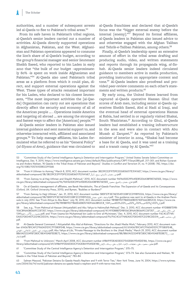authorities, and a number of subsequent arrests led al-Qaeda to flee to Pakistan's tribal areas.<sup>53</sup>

From its safe haven in Pakistan's tribal regions, al-Qaeda's senior leaders carried out a number of activities. Al-Qaeda directly supported operations in Afghanistan, Pakistan, and the West. Afghanistan and Pakistan operations appeared to consume the lion's share of al-Qaeda's budget, according to the group's financial manager and senior lieutenant Sheikh Saeed, who reported to bin Laden in early 2010 that "the bulk of our budget –approximately 80% -is spent on work inside Afghanistan and Pakistan."<sup>54</sup> Al-Qaeda also used Pakistan's tribal areas as a platform from which it could plan, direct, and support external operations against the West. These types of attacks remained important for bin Laden, who declared to his closest lieutenants, "The most important activities the [al-Qaeda] Organization can carry out are operations that directly affect the security and economy of all of the American people … . Operations inside America and targeting oil abroad … are among the strongest and fastest ways to affect the [American] people."<sup>55</sup>

Al-Qaeda senior leaders in Pakistan also issued internal guidance and sent material support to, and otherwise interacted with, affiliated and associated groups.56 To help manage affiliates, bin Laden formulated what he referred to as his "General Policy" (*al-Siyasa al-Ama*), guidance that was circulated to

al-Qaeda franchises and declared that al-Qaeda's focus was the "bigger external enemy before the internal [enemy]."<sup>57</sup> Beyond its formal affiliates, al-Qaeda leaders in Pakistan also issued advice to and otherwise engaged with the Afghan Taliban and Tehrik-e-Taliban Pakistan, among others.<sup>58</sup>

Finally, al-Qaeda's leadership spent an extensive amount of effort in the tribal areas drafting and producing audio, video, and written statements and reports through its propaganda wing, *al-Sahab*. Al-Qaeda senior leaders indeed circulated guidance to members active in media production, providing instruction on appropriate content and tone.59 Al-Qaeda leaders also proofread and provided peer-review comments on each other's statements and written products.<sup>60</sup>

By early 2004, the United States learned from captured al-Qaeda operative Hassan Ghul that scores of Arab men, including senior al-Qaeda operatives Sheikh Saeed, Abd al Hadi al Iraqi, and the eventual head of external operations Hamza al Rabia, had settled in or regularly visited Shakai, South Waziristan.<sup>61</sup> According to Ghul, al-Qaeda leaders had established a training infrastructure in the area and were also in contact with Abu Musab al Zarqawi.<sup>62</sup> As reported by Pakistan's minister of interior in 2004, "Shakai had become a base for Al Qaeda, and it was used as a training and a transit camp by Al Qaeda."<sup>63</sup>

56 On al-Qaeda's management of affiliates, see Barak Mendelsohn, *The al-Qaeda Franchise: The Expansion of al-Qaeda and its Consequences* (Oxford, UK: Oxford University Press, 2015); and Byman, "Buddies or Burdens?"

57 "From Zamray to Hajji Uthman," Jan. 31, 2010, ACC document number 5B5F57F3E7AE55451338F2C019895326, [https://www.cia.gov/library/](https://www.cia.gov/library/abbottabad-compound/5B/5B5F57F3E7AE55451338F2C019895326_السابقة_الحاج_عثمان.pdf) [abbottabad-compound/5B/5B5F57F3E7AE55451338F2C019895326\\_](https://www.cia.gov/library/abbottabad-compound/5B/5B5F57F3E7AE55451338F2C019895326_السابقة_الحاج_عثمان.pdf)عثمان\_احلاج\_السابقة.pdf. This guidance was sent to al-Qaeda in the Arabian Peninsula in July 2010. See "From Attiya to Abu Basir," July 18, 2010, ACC document number 9B1BB19077B6EE6EBD574DF6663B52C8, [https://www.cia.](https://www.cia.gov/library/abbottabad-compound/9B/9B1BB19077B6EE6EBD574DF6663B52C8_إلى%20الأخ%20الحبيب%20أبي%20بصير%20ــ%206شعبان1431.pdf) [gov/library/abbottabad-compound/9B/9B1BB19077B6EE6EBD574DF6663B52C8\\_1341](https://www.cia.gov/library/abbottabad-compound/9B/9B1BB19077B6EE6EBD574DF6663B52C8_إلى%20الأخ%20الحبيب%20أبي%20بصير%20ــ%206شعبان1431.pdf)شعبان602%ــ02%بصير02%أبي02%احلبيب02%األخ02%إلى.pdf.

58 See, e.g., "From Mahmud al-Hassan (Attiyatallah) and Abu Yahya to Hakimullah Mehsud," Dec. 3, 2010, ACC document number 411DB8B7D9B106CB96A0B0669CC87357, [https://www.cia.gov/library/abbottabad-compound/41/411DB8B7D9B106CB96A0B0669CC87357\\_](https://www.cia.gov/library/abbottabad-compound/41/411DB8B7D9B106CB96A0B0669CC87357_إلى_الأخ_حكيم_الله_محسود_ـ_27ذو_الحجة1431.pdf)\_اللهب 1341احلجة\_ذو72\_[ـ\\_محسود](https://www.cia.gov/library/abbottabad-compound/41/411DB8B7D9B106CB96A0B0669CC87357_إلى_الأخ_حكيم_الله_محسود_ـ_27ذو_الحجة1431.pdf).pdf; and "From Usama bin Muhammad bin Ladin to Emir al-Mu'mineen," Dec. 4, 2010, ACC document number F6C4C6774A-EA0CFDE0457CD218CDD21A, [https://www.cia.gov/library/abbottabad-compound/F6/F6C4C6774AEA0CFDE0457CD218CDD21A\\_](https://www.cia.gov/library/abbottabad-compound/F6/F6C4C6774AEA0CFDE0457CD218CDD21A_إلى_صاحب_الطيب.pdf)الطيب\_صاحب\_إلى. [pdf.](https://www.cia.gov/library/abbottabad-compound/F6/F6C4C6774AEA0CFDE0457CD218CDD21A_إلى_صاحب_الطيب.pdf)

<sup>53 &</sup>quot;Committee Study of the Central Intelligence Agency's Detention and Interrogation Program," United States Senate Select Committee on Intelligence, Dec. 9, 2014, [https://www.intelligence.senate.gov/sites/default/files/publications/CRPT-113srpt288.pdf,](https://www.intelligence.senate.gov/sites/default/files/publications/CRPT-113srpt288.pdf) 217–301; and Rohan Gunaratna and Anders Nielsen, "Al Qaeda in the Tribal Areas of Pakistan and Beyond," *Studies in Conflict and Terrorism* 31, no. 9 (2008): 782, [https://doi.](https://doi.org/10.1080/10576100802291568) [org/10.1080/10576100802291568](https://doi.org/10.1080/10576100802291568).

<sup>54 &</sup>quot;From H Uthman to Azmray," March 8, 2010, ACC document number 3B239CE2F97DFE3326836017E31A16E7, [https://www.cia.gov/library/](https://www.cia.gov/library/abbottabad-compound/3B/3B239CE2F97DFE3326836017E31A16E7_lمن_عثمان_لأزمراي_ربيع_أول.pdf) abbottabad-compound/3B/3B239CE2F97DFE3326836017E31A16E7\_أولاكمabbottabad-compound/3B/3B239CE2F97DFE3326836017E

<sup>55 &</sup>quot;From Zamray to al-Hajj Uthman and Shaykh Mahmud," 2010, ACC document number 96FA650E29F645E8520643BFB576E5EE, [https://www.](https://www.cia.gov/library/abbottabad-compound/96/96FA650E29F645E8520643BFB576E5EE_الحاج_عثمان_والشيخ_محمود.pdf) .eia.gov/library/abbottabad-compound/96/96FA650E29F645E8520643BFB576E5EE\_محتمان\_والشيخ\_محمود\_cia.gov/library/abbottabad-compound/96/96FA650E29F645E8520643BFB576E5EE

<sup>59</sup> Al-Qaeda General Command / Attiyatallah Abu Abd al-Rahman, "Directions for the Jihadi Media Work," February 2010, ACC document number 61A067B1CAFCF960A51D1C7F1580FE4B, [https://www.cia.gov/library/abbottabad-compound/61/61A067B1CAFCF960A51D1C7F1580FE4B\\_](https://www.cia.gov/library/abbottabad-compound/61/61A067B1CAFCF960A51D1C7F1580FE4B_توجيهات_في_العمل_الإعلامي_الجهادي.pdf) [اجلهادي\\_اإلعالمي\\_العمل\\_في\\_توجيهات](https://www.cia.gov/library/abbottabad-compound/61/61A067B1CAFCF960A51D1C7F1580FE4B_توجيهات_في_العمل_الإعلامي_الجهادي.pdf).pdf; Abu Yahya al-Libi, "Private Message to the Brothers in the Jihadi Media," March 29, 2010, ACC document number B861A02324FB7280C18E410AB7EE8E72, [https://www.cia.gov/library/abbottabad-compound/B8/B861A02324FB7280C18E410AB7EE8E72\\_](https://www.cia.gov/library/abbottabad-compound/B8/B861A02324FB7280C18E410AB7EE8E72_جنود_الإعلام.pdf)\_جنود .pdf.[اإلعالم](https://www.cia.gov/library/abbottabad-compound/B8/B861A02324FB7280C18E410AB7EE8E72_جنود_الإعلام.pdf)

<sup>60 &</sup>quot;From Mahmud to Unknown," March-April 2008, ACC document number 69B691FDEAE0E0CF542E8A19545DE186, [https://www.cia.gov/](https://www.cia.gov/library/abbottabad-compound/69/69B691FDEAE0E0CF542E8A19545DE186_تعليق_محمود_على_تعليقات_الإخوة_الكرام_على_رسالة_الإيمان.pdf) .<br>.pdf تعليق\_محمود\_على\_تعليقات\_الإخوة\_الكرام\_على\_رسالة\_الإيمان\_1896019542E8A19545DE186. ابعلى المحمود\_على\_تعليقات

<sup>61 &</sup>quot;Committee Study of the Central Intelligence Agency's Detention and Interrogation Program," 370–75.

<sup>62 &</sup>quot;Committee Study of the Central Intelligence Agency's Detention and Interrogation Program," 373–74. See also Gunaratna and Nielsen, "Al Qaeda in the Tribal Areas of Pakistan and Beyond," 783–84.

<sup>63</sup> Salman Masood, "Pakistan Detains Ex-Qaeda Head's Nephew and 9 with Terror Ties," *New York Times*, June 14, 2004, [https://www.nytimes.](https://www.nytimes.com/2004/06/14/world/pakistan-detains-ex-qaeda-head-s-nephew-and-9-with-terror-ties.html) [com/2004/06/14/world/pakistan-detains-ex-qaeda-head-s-nephew-and-9-with-terror-ties.html](https://www.nytimes.com/2004/06/14/world/pakistan-detains-ex-qaeda-head-s-nephew-and-9-with-terror-ties.html).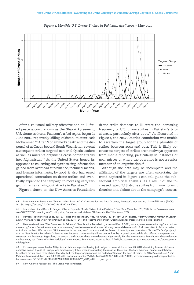

*Figure 1. Monthly U.S. Drone Strikes in Pakistan, April 2004 – May 2011*

After a Pakistani military offensive and an ill-fated peace accord, known as the Shakai Agreement, U.S. drone strikes in Pakistan's tribal region began in June 2004, reportedly killing Pakistani militant Nek Mohammed.64 After Mohammed's death and the dispersal of al-Qaeda beyond South Waziristan, several subsequent strikes targeted senior al-Qaeda leaders as well as militants organizing cross-border attacks into Afghanistan.<sup>65</sup> As the United States honed its approach to collecting and synthesizing information gained from overhead surveillance, technical means, and human informants, by 2008 it also had eased operational constraints on drone strikes and eventually expanded the campaign to more regularly target militants carrying out attacks in Pakistan.<sup>66</sup>

Figure 1 draws on the New America Foundation

drone strike database to illustrate the increasing frequency of U.S. drone strikes in Pakistan's tribal areas, particularly after 2007. $67$  As illustrated in Figure 1, the New America Foundation was unable to ascertain the target group for the plurality of strikes between 2004 and 2011. This is likely because the targets of strikes are not always apparent from media reporting, particularly in instances of near misses or where the operative is not a senior member of an organization.<sup>68</sup>

Although the data may be incomplete and the affiliation of the targets are often uncertain, the trend depicted in Figure 1 can still guide the subsequent empirical analysis. As a result of the increased rate of U.S. drone strikes from 2004 to 2011, theories and claims about the campaign's success

69 New America Foundation, "The Drone War in Pakistan."

<sup>64</sup> New American Foundation, "Drone Strikes: Pakistan"; C. Christine Fair and Seth G. Jones, "Pakistan's War Within," *Survival* 51, no. 6 (2009): 161–88,<https://doi.org/10.1080/00396330903465204>.

<sup>65</sup> Mark Mazetti and David E. Sanger, "Obama Expands Missile Strikes Inside Pakistan," *New York Times*, Feb. 20, 2009, [https://www.nytimes.](https://www.nytimes.com/2009/02/21/washington/21policy.html) [com/2009/02/21/washington/21policy.html](https://www.nytimes.com/2009/02/21/washington/21policy.html); Gunaratna and Nielsen, "Al Qaeda in the Tribal Areas," 787.

<sup>66</sup> Hayden, Playing to the Edge, 336–37; Peritz and Rosenbach, *Find, Fix, Finish*, 153–54, 159; Leon Panetta, *Worthy Fights: A Memoir of Leadership in War and Peace* (New York: Penguin Books, 2014), 241; and Mazetti and Sanger, "Obama Expands Missile Strikes Inside Pakistan."

<sup>67</sup> Data retrieved from "The Drone War in Pakistan," New America Foundation, accessed Dec. 7, 2021, [https://www.newamerica.org/internation](https://www.newamerica.org/international-security/reports/americas-counterterrorism-wars/the-drone-war-in-pakistan/)[al-security/reports/americas-counterterrorism-wars/the-drone-war-in-pakistan/](https://www.newamerica.org/international-security/reports/americas-counterterrorism-wars/the-drone-war-in-pakistan/). Although several datasets of U.S. drone strikes in Pakistan exist, to include the *Long War Journal*'s "U.S. Airstrikes in the Long War" database and the Bureau of Investigative Journalism's "Drone Warfare" project, I use the New America Foundation's dataset here because it more readily allows one to filter by targeted group, while also offering transparent and consistent methodology. Regardless, the annual trends across these three datasets align closely. For the New America Foundation's data-collection methodology, see "Drone Wars Methodology," New America Foundation, accessed Dec. 7, 2021, [https://securitydata.newamerica.net/drones/meth](https://securitydata.newamerica.net/drones/methodology.html)[odology.html](https://securitydata.newamerica.net/drones/methodology.html).

<sup>68</sup> For example, senior leader Attiya Abd al Rahman reported having just dodged a drone strike on Jan. 23, 2011, describing how an al-Qaeda operative named Riyadh al Husayni was subsequently killed when investigating the result of the strike. The New America Foundation database lists there having been three strikes that day, but the target organizations are coded as "Unclear" for each of them. For Attiya's report, see "From Mahmud to Abu Abdullah," Jan. 24, 2011, ACC document number 99D9514748A90A2A378B40503C2B0219, [https://www.cia.gov/library/abbotta](https://www.cia.gov/library/abbottabad-compound/99/99D9514748A90A2A378B40503C2B0219_من_محمود_ـ_20صفر1432.pdf)[bad-compound/99/99D9514748A90A2A378B40503C2B0219\\_2341](https://www.cia.gov/library/abbottabad-compound/99/99D9514748A90A2A378B40503C2B0219_من_محمود_ـ_20صفر1432.pdf)صفر02\_ـ\_محمود\_من.pdf.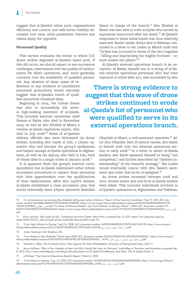suggest that al-Qaeda's talent pool, organizational efficiency and control, and safe-haven viability decreased over time, while pessimistic theories and claims imply the opposite.

## **Personnel Quality**

This section evaluates the extent to which U.S. drone strikes degraded al-Qaeda's talent pool. If this did occur, we should expect to see succession challenges, reservations over the quality of replacements for killed operatives, and, more generally, concerns over the availability of qualified person-

nel. Any absence of these types of reflections or any evidence of uninhibited personnel promotions would naturally suggest that al-Qaeda's bench of qualified operatives remained deep.

Beginning in 2005, the United States was able to successfully kill several high-ranking members of al-Qaeda. This included external operations chief Hamza al Rabia, who died in November 2005, as well as Abu Khabab al Masri, a veteran al-Qaeda explosives expert, who died in July 2008.<sup>70</sup> Some of al-Qaeda's

military officials also were eliminated via drone strikes, including Abu Layth al Libi, a Libyan operative who had become the group's spokesman and helped manage al-Qaeda operations in Afghanistan, as well as his deputy, Abu Sahl al Libi, both of whom died in a single strike in January 2008.<sup>71</sup>

It is apparent from the group's internal correspondence that al-Qaeda maintained rather robust succession procedures to replace these personnel with little apprehension over the qualifications of their replacements. After Abu Layth's demise, al-Qaeda established a clear succession plan that would eventually leave Libyan operative Abdullah

Saeed in charge of the branch.<sup>72</sup> Abu Khabab al Masri was also able to train acolytes who served as explosives instructors after his death.<sup>73</sup> Al-Qaeda's responses to these initial losses was thus relatively reserved: Senior leader Attiya Abd al Rahman concluded in a letter to bin Laden in March 2008 that "[w]hat has occurred in terms of the two tragedies – killing and imprisoning the mighty brothers – almost shakes the pillars."<sup>74</sup>

Al-Qaeda's external operations branch is an exception. Al Rabia, himself one in a string of al-Qaeda external operations personnel who had been captured or killed after 9/11, was succeeded by Abu

**There is strong evidence to suggest that this wave of drone strikes continued to erode al-Qaeda's list of personnel who were qualified to serve in its external operations branch.**

> Ubaydah al Masri, a well-seasoned operative.75 After Abu Ubaydah died of natural causes, Abu Saleh al Somali took over the external operations section in early 2008.<sup>76</sup> In a letter to senior al-Qaeda leaders, Abu Saleh assessed himself as being "not competent," and further described his "limited understanding" of the branch's strategy. $77$  Bin Laden would eventually concur with Abu Saleh's sentiment and order that he be re-assigned.<sup>78</sup>

> As drone strikes increased between 2008 and 2010, several senior and mid-level al-Qaeda leaders were killed. This included individuals involved in al-Qaeda's operations in Afghanistan and Pakistan,

72 "From Hajji Uthman to Zamray," April 16, 2008, ACC document number C6090F43E081E2DCCDFF5363C762417B, [https://www.cia.gov/](https://www.cia.gov/library/abbottabad-compound/C6/C6090F43E081E2DCCDFF5363C762417B_من_عثمان_لمولوى_زمراي_ربيع.pdf) [library/abbottabad-compound/C6/C6090F43E081E2DCCDFF5363C762417B\\_](https://www.cia.gov/library/abbottabad-compound/C6/C6090F43E081E2DCCDFF5363C762417B_من_عثمان_لمولوى_زمراي_ربيع.pdf)ربيع\_زمراي\_ملولوى\_عثمان\_من.pdf.

73 Jones, *Hunting in the Shadows*, 316.

<sup>70</sup> For circumstances surrounding Abu Khabab's killing, see Author Unknown, "Report of the Security Committee," May 17, 2010, ACC document number ADA6EB8284E8D75733F93503C3CB7BDA, [https://www.cia.gov/library/abbottabad-compound/AD/ADA6EB8284E8D75733F-](https://www.cia.gov/library/abbottabad-compound/AD/ADA6EB8284E8D75733F93503C3CB7BDA_التقرير_المطلوب.pdf)[93503C3CB7BDA\\_](https://www.cia.gov/library/abbottabad-compound/AD/ADA6EB8284E8D75733F93503C3CB7BDA_التقرير_المطلوب.pdf)املطلوب\_التقرير.pdf. For those of Hamza al-Rabia's, see "From Uthman to Zamray," March 1, 2006, ACC document number F1C-827017C6F0D4B7D77335A5F864A44, [https://www.cia.gov/library/abbottabad-compound/F1/F1C827017C6F0D4B7D77335A5F864A44\\_](https://www.cia.gov/library/abbottabad-compound/F1/F1C827017C6F0D4B7D77335A5F864A44_لمولوي_زمراي.pdf)زمراي\_ملولوي. [pdf.](https://www.cia.gov/library/abbottabad-compound/F1/F1C827017C6F0D4B7D77335A5F864A44_لمولوي_زمراي.pdf)

<sup>71</sup> Kévin Jackson, "Abu Layth al-Libi," Combating Terrorism Center, West Point, accessed Dec. 8, 2021, [https://ctc.usma.edu/app/up](https://ctc.usma.edu/app/uploads/2015/03/CTC_Abu-al-Layth-al-Libi-Jihadi-Bio-February2015-1.pdf)[loads/2015/03/CTC\\_Abu-al-Layth-al-Libi-Jihadi-Bio-February2015-1.pdf](https://ctc.usma.edu/app/uploads/2015/03/CTC_Abu-al-Layth-al-Libi-Jihadi-Bio-February2015-1.pdf), 53.

<sup>74 &</sup>quot;From Attiya to Abu Abdullah," March-April 2008, ACC document number 503F3CF4EDDF4EC13F103E6552FB41AC, [https://www.cia.gov/](https://www.cia.gov/library/abbottabad-compound/50/503F3CF4EDDF4EC13F103E6552FB41AC_من_عطية_إلى_أزمراي_ـ_ربيع_الأول_1429هـ.pdf) [library/abbottabad-compound/50/503F3CF4EDDF4EC13F103E6552FB41AC](https://www.cia.gov/library/abbottabad-compound/50/503F3CF4EDDF4EC13F103E6552FB41AC_من_عطية_إلى_أزمراي_ـ_ربيع_الأول_1429هـ.pdf)\_هـ9241\_األول\_ربيع\_ـ\_أزمراي\_إلى\_عطية\_من.pdf.

<sup>75</sup> Mitchell D. Silber, *The Al Qaeda Factor: Plots Against the West* (Philadelphia: University of Pennsylvania Press, 2011), 5.

<sup>76</sup> Bruce Hoffman, "Who Is Abu Ubaidah al-Masri and Why Should We Care: An Obituary," *Insite Blog on Terrorism and Extremism*, accessed Dec. 8, 2021,<http://news.siteintelgroup.com/blog/index.php/about-us/21-jihad/16-hoffalmasri>; and Silber, *The Al Qaeda Factor*, 5.

<sup>77</sup> al-Muhajir, "The External [Operations Branch] Report," March 6, 2008.

<sup>78 &</sup>quot;From Attiya to Azmray," Aug. 22, 2009, ACC document number F5C840A3074C7D3000D60046D9590EB0, [https://www.cia.gov/library/](https://www.cia.gov/library/abbottabad-compound/F5/F5C840A3074C7D3000D60046D9590EB0_لأزمراي_ـ_غرة_رمضان1430هـ.pdf) [abbottabad-compound/F5/F5C840A3074C7D3000D60046D9590EB0\\_](https://www.cia.gov/library/abbottabad-compound/F5/F5C840A3074C7D3000D60046D9590EB0_لأزمراي_ـ_غرة_رمضان1430هـ.pdf)هايم المستفرة \_بمضانة abbottabad-compound/F5/F5C840A3074C7D3000D60046D9590EB0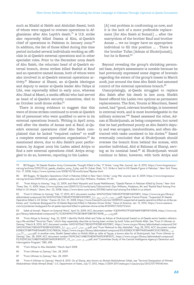such as Khalid al Habib and Abdullah Saeed, both of whom were tapped to oversee operations in Afghanistan after Abu Layth's death.<sup>79</sup> A U.S. strike also reportedly killed Osama al Kini, al-Qaeda's chief of operations in Pakistan in January 2009.<sup>80</sup> In addition, the list of those killed during this time period included several individuals working as officials in al-Qaeda's external operations and in other specialist roles. Prior to the December 2009 death of Abu Saleh, the reluctant head of al-Qaeda's external branch, drone strikes killed Rashid al Rauf and an operative named Annas, both of whom were also involved in al-Qaeda's external operations activity.<sup>81</sup> Mansur al Shami, an al-Qaeda ideologue and deputy to senior al-Qaeda leader Abu Yahya al Libi, was reportedly killed in early 2010, whereas Abu Jihad al Masri, a media official who had served as head of al-Qaeda's security committee, died in an October 2008 drone strike.<sup>82</sup>

There is strong evidence to suggest that this wave of drone strikes continued to erode al-Qaeda's list of personnel who were qualified to serve in its external operations branch. Writing in April 2009, well after the deaths of Annas and al Rauf, al-Qaeda's external operations chief Abu Saleh complained that he lacked "required cadres" to staff a complete external operations organization.<sup>83</sup> As mentioned above, due to Abu Saleh's poor performance, by August 2009 bin Laden asked Attiya to find a new external operations chief. Attiya struggled to do so, however, reporting to bin Laden:

[A] real problem is confronting us now, and it is the lack of a more preferable replacement [for Abu Saleh al Somali] … after the martyrdom of the brother Rauf and brother Annas … we no longer have an appropriate individual to fill this position … . There is the brother Tufan [Adnan al Shukrijumah], but he is flawed.<sup>84</sup>

Beyond revealing the group's shrinking personnel base, Attiya's assessment is notable because he had previously expressed some degree of bravado regarding the extent of the group's losses in March 2008, just around the time Abu Saleh had assumed control of the external operations branch.<sup>85</sup>

Unsurprisingly, al-Qaeda struggled to replace Abu Saleh after his death in late 2009. Sheikh Saeed offered bin Laden two options as permanent replacements. The first, Younis al Mauritani, Saeed noted, had "good, relevant knowledge, is interested in external work, and is most knowledgeable in the military sciences."86 Saaed assessed the other, Adnan al Shukrijumah, as being competent, but noted that he had performed poorly as Abu Saleh's deputy and was arrogant, insubordinate, and often distracted with tasks unrelated to his duties.<sup>87</sup> Saeed eventually concluded that al Shukrijumah should oversee the branch from behind the scenes, with another individual, Abd al Rahman al Sharqi, serving as its nominal head.<sup>88</sup> Al Shukrijumah would continue to falter, however, with both Attiya and

- 79 Bill Roggio, "Al Qaeda Shadow Army Commander Thought Killed in Dec. 17 Strike," *Long War Journal*, Jan. 8, 2010, [https://www.longwarjour](https://www.longwarjournal.org/archives/2010/01/al_qaeda_shadow_army_2.php)[nal.org/archives/2010/01/al\\_qaeda\\_shadow\\_army\\_2.php;](https://www.longwarjournal.org/archives/2010/01/al_qaeda_shadow_army_2.php) and Pir Zubair Shah, "U.S. Strike is Said to Kill Qaeda Figure in Pakistan," *New York Times*, Oct. 17, 2008, [https://www.nytimes.com/2008/10/18/world/asia/18pstan.html.](https://www.nytimes.com/2008/10/18/world/asia/18pstan.html)
- 80 Bill Roggio, "Al Qaeda's Operations Chief in Pakistan Killed in New Year's Strike," *Long War Journal*, Jan. 8, 2009, [https://www.longwarjour](https://www.longwarjournal.org/archives/2009/01/al_qaedas_operations.php)[nal.org/archives/2009/01/al\\_qaedas\\_operations.php;](https://www.longwarjournal.org/archives/2009/01/al_qaedas_operations.php) and Glyn Williams, *Predator*, 91–92.
- 81 "From Attiya to Azmray," Aug. 22, 2009; and Mark Mazzetti and Souad Mekhhennet, "Qaeda Planner in Pakistan Killed by Drone," *New York Times*, Dec. 11, 2009, <https://www.nytimes.com/2009/12/12/world/asia/12drone.html>; Glyn Williams, *Predators*, 84; and "Rashid Rauf Among Five Killed in US Attack," *Dawn*, Nov. 23, 2008,<https://www.dawn.com/news/331358/rashid-rauf-among-five-killed-in-us-attack>.
- 82 "From H Uthman to Azmray," Feb. 17, 2010, ACC document number 34107427DAC7382457F9D58F4307081C, [https://www.cia.gov/library/](https://www.cia.gov/library/abbottabad-compound/34/34107427DAC7382457F9D58F4307081C_lمن_عثمان_لأزمراي_ربيع_أول.pdf) [abbottabad-compound/34/34107427DAC7382457F9D58F4307081C\\_l](https://www.cia.gov/library/abbottabad-compound/34/34107427DAC7382457F9D58F4307081C_lمن_عثمان_لأزمراي_ربيع_أول.pdf)أول\_ربيع\_ألزمراي\_عثمان\_من.pdf; Agence France-Presse, "Suspected Al Qaeda Operative Killed in US Strike," *France 24*, Oct. 31, 2008, [https://www.france24.com/en/20081031-suspected-al-qaeda-operative-killed-us-strike-pa](https://www.france24.com/en/20081031-suspected-al-qaeda-operative-killed-us-strike-pakistan)[kistan;](https://www.france24.com/en/20081031-suspected-al-qaeda-operative-killed-us-strike-pakistan) and "Jordanian Bodyguard for Al-Qaida Reported Killed in Pakistan Drone Strike," *Voice of America*, Jan. 12, 2010, [https://www.voanews.](https://www.voanews.com/a/jordanian-bodyguard-for-al-qaida-reported-killed-in-pakistan-drone-strike-81334907/165273.html) [com/a/jordanian-bodyguard-for-al-qaida-reported-killed-in-pakistan-drone-strike-81334907/165273.html.](https://www.voanews.com/a/jordanian-bodyguard-for-al-qaida-reported-killed-in-pakistan-drone-strike-81334907/165273.html)

83 Saleh al-Somali, "Report on External Work," April 16, 2009, ACC document number 1C829499077F5287AB4F1DBFF8174D9B, [https://www.cia.](https://www.cia.gov/library/abbottabad-compound/1C/1C829499077F5287AB4F1DBFF8174D9B_من_صالح.pdf) [gov/library/abbottabad-compound/1C/1C829499077F5287AB4F1DBFF8174D9B\\_](https://www.cia.gov/library/abbottabad-compound/1C/1C829499077F5287AB4F1DBFF8174D9B_من_صالح.pdf)رئاص نم .pdf

84 "From Attiya to Azmray," Aug. 22, 2009. I identify Muhib Allah and Tufan as Adnan al Shukrijumah based on al-Qaeda senior leaders referencing a file entitled "Terrorize Them," which they separately describe as having been written by both Tufan and Muhib Allah. See "From H Uthman to Zamray," March 8, 2010, ACC document number 34107427DAC7382457F9D58F4307081C, [https://www.cia.gov/library/abbottabad-compound/34/](https://www.cia.gov/library/abbottabad-compound/34/34107427DAC7382457F9D58F4307081C_lمن_عثمان_لأزمراي_ربيع_أول.pdf) [34107427DAC7382457F9D58F4307081C\\_l](https://www.cia.gov/library/abbottabad-compound/34/34107427DAC7382457F9D58F4307081C_lمن_عثمان_لأزمراي_ربيع_أول.pdf)أول\_ربيع\_ألزمراي\_عثمان\_من.pdf; and "From Mahmud to Abu Abdullah," Aug. 28, 2010, ACC document number E00B2C1F3B97FA810A689C513C780E36, [https://www.cia.gov/library/abbottabad-compound/E0/E00B2C1F3B97FA810A689C513C780E36\\_](https://www.cia.gov/library/abbottabad-compound/E0/E00B2C1F3B97FA810A689C513C780E36_من_محمود_ــ_17رمضان.pdf)\_من pdf. In another note, Sheikh Saeed refers to Muhib Allah as Jafar al Tayyar, a known alias for al Shukrijumah. See "From Uthman to" محدر ـــــ 71رمضان Zamray," Dec. 28, 2009, ACC document number FED9C56C134B0704EDEFDA9D3F8FE07C, [https://www.cia.gov/library/abbottabad-compound/](https://www.cia.gov/library/abbottabad-compound/FE/FED9C56C134B0704EDEFDA9D3F8FE07C_من_ح_عثمان_محرم_31.pdf) [FE/FED9C56C134B0704EDEFDA9D3F8FE07C\\_13\\_](https://www.cia.gov/library/abbottabad-compound/FE/FED9C56C134B0704EDEFDA9D3F8FE07C_من_ح_عثمان_محرم_31.pdf)محرم\_عثمان\_ح\_من.pdf; and "Committee Study of the Central Intelligence Agency's Detention and Interrogation Program," 580, 608.

87 "From Uthman to Zamray," Dec. 28, 2009.

88 "From H Uthman to Zamray," March 8, 2010. On al Sharqi, also known as Ahmed Abdulrahman Sihab, see "Terrorist Designation of Ahmed Abdulrahman Sihab Ahmed Sihab," U.S. Department of State, July 17, 2012, [https://2009-2017.state.gov/r/pa/prs/ps/2012/07/195140.htm.](https://2009-2017.state.gov/r/pa/prs/ps/2012/07/195140.htm)

<sup>85 &</sup>quot;From Attiya to Abu Abdullah," March–April 2008.

<sup>86 &</sup>quot;From Uthman to Zamray," Dec. 28, 2009.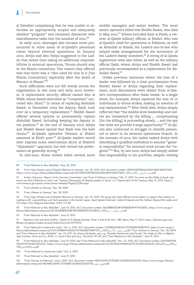al Zawahiri complaining that he was unable to articulate an appropriately scoped and adequately detailed "program" and remained distracted with miscellaneous tasks into the summer of 2010.<sup>89</sup>

In early 2010, shortages also became more pronounced in other areas of al-Qaeda's personnel roster beyond external operations. In January 2010, Attiya and Abu Yahya suggested to bin Laden that rather than taking on additional responsibilities in external operations, Younis should stay in the Sharia committee. The reason they offered was that there was a "dire need for him in it [the Sharia Committee], especially after the death of Mansur al-Shami."90

Such difficulties were not felt evenly across the organization in late 2009 and early 2010, however. A replacement security official named Abu al Wafa, whom Saeed described as "competent," succeded Abu Jihad.<sup>91</sup> In terms of replacing Abdullah Saeed, in December 2009 his deputy, Saidi, took over as a temporary replacement.<sup>92</sup> Sheikh Saeed offered several options to permanently replace Abdullah Saeed, including keeping his deputy in the position.<sup>93</sup> At the end of January 2010, Attiya and Sheikh Saeed opined that Saidi was the best choice.<sup>94</sup> Al-Qaeda operative Uthman al Shahri assumed al Kini's post.<sup>95</sup> Al-Qaeda leaders would later express some reservations about al Shahri's "diplomatic" approach, but still viewed his performance as generally strong.<sup>96</sup>

In mid-2010, drone strikes killed several more

middle managers and senior leaders. The most senior operative killed was Sheikh Saeed, who died in May 2010.<sup>97</sup> Others included Amir al Fateh, a veteran al-Qaeda military official, al Shahri, who was al-Qaeda's chief for operations in Pakistan, as well as Abdullah al Halabi, bin Laden's son-in-law who helped make arrangements for the movement of bin Laden's family members.<sup>98</sup> A string of al-Qaeda logisticians were also killed, as well as the military official Saidi, whom Attiya and Sheikh Saeed had previously recommended as a replacement for Abdullah Saeed.<sup>99</sup>

Unlike previous instances where the loss of a leader was followed by a clear proclamation from Sheikh Saeed or Attiya regarding their replacement, such discussions were absent from al-Qaeda's correspondence after these losses. In a single letter, for example, Attiya reported the loss of 10 individuals to drone strikes, making no mention of any replacements.<sup>100</sup> After Saidi died, Attiya simply reflected that "the middle-level leadership and cadres are tormented by the killing … compensating [for the killing] is proceeding slowly ... and the spy war does not provide a large opportunity."<sup>101</sup> Al-Qaeda also continued to struggle to identify personnel to serve in its external operations branch. In the summer of 2010, bin Laden tasked Attiya with identifying a qualified individual to assume "general responsibility" for external work across the "regions."<sup>102</sup> But, by late 2010, Attiya had simply added this responsibility to his portfolio, despite viewing

<sup>89 &</sup>quot;From Mahmud to Abu Abdullah," Aug. 28, 2010.

<sup>90 &</sup>quot;From Hajji Uthman and al-Shaykh Mahmud to Azmray," Jan. 25, 2010, ACC document number CB09C06FF85363335A038AF3D83736FE, [https://www.cia.gov/library/abbottabad-compound/CB/CB09C06FF85363335A038AF3D83736FE\\_1341](https://www.cia.gov/library/abbottabad-compound/CB/CB09C06FF85363335A038AF3D83736FE_جواب_لأزمراي_ـ_10صفر1431.pdf)صفر01\_ـ\_ألزمراي\_جواب.pdf.

<sup>91</sup> Author Unknown, "Report of the Security Committee"; and "From H Uthman to Zamray," Feb. 17, 2010. For more on Abu Wafa al Saudi, also known as Abd al Rahman al Juhni, see "Treasury Designates Al-Qaeda Leaders in Syria," U.S. Department of the Treasury, May 14, 2014, [https://](https://www.treasury.gov/press-center/press-releases/Pages/jl2396.aspx) [www.treasury.gov/press-center/press-releases/Pages/jl2396.aspx.](https://www.treasury.gov/press-center/press-releases/Pages/jl2396.aspx)

<sup>92 &</sup>quot;From Uthman to Zamray," Dec. 28, 2009.

<sup>93 &</sup>quot;From Uthman to Zamray," Dec. 28, 2009.

<sup>94 &</sup>quot;From Hajji Uthman and al-Shaykh Mahmud to Azmray," Jan. 25, 2010. The group also had sufficient local cadres to support the creation of Lashkar-e-Zill, a paramilitary unit that operated in the border region. Syed Saleem Shahzad, *Inside Al-Qaeda and the Taliban: Beyond Bin Laden and 9/11* (New York: Palgrave Macmillan, 2011), 177–85.

<sup>95 &</sup>quot;From Mahmud to Abu Abdullah," June 19, 2010, ACC document number 3663EBB50528F58783EB34F9F7ACBDD2, [https://www.cia.gov/](https://www.cia.gov/library/abbottabad-compound/36/3663EBB50528F58783EB34F9F7ACBDD2_من_محمود_ـ_رجب1431.pdf) [library/abbottabad-compound/36/3663EBB50528F58783EB34F9F7ACBDD2\\_1341](https://www.cia.gov/library/abbottabad-compound/36/3663EBB50528F58783EB34F9F7ACBDD2_من_محمود_ـ_رجب1431.pdf)رجب\_ـ\_محمود\_من.pdf.

<sup>96 &</sup>quot;From Mahmud to Abu Abdullah," June 19, 2010.

<sup>97</sup> Matthew Cole and Nick Schifrin, "Death of Al Qaeda Number Three Is End of An Era," *ABC News*, May 17, 2010, [https://abcnews.go.com/](https://abcnews.go.com/Blotter/al-qaeda-number-al-yazid-killed/story?id=10793370) [Blotter/al-qaeda-number-al-yazid-killed/story?id=10793370.](https://abcnews.go.com/Blotter/al-qaeda-number-al-yazid-killed/story?id=10793370)

<sup>98 &</sup>quot;From Mahmud to Usama bin Ladin," Oct. 6, 2010, ACC document number C51E8BA4CE8263C5115D6EB74FB8757D, [https://www.cia.gov/](https://www.cia.gov/library/abbottabad-compound/C5/C51E8BA4CE8263C5115D6EB74FB8757D_من_محمود_27_شوال1431هـــ.pdf) [library/abbottabad-compound/C5/C51E8BA4CE8263C5115D6EB74FB8757D\\_](https://www.cia.gov/library/abbottabad-compound/C5/C51E8BA4CE8263C5115D6EB74FB8757D_من_محمود_27_شوال1431هـــ.pdf)هـــ1341شوال\_72\_محمود\_من.pdf; "From Uthman to Zamray," Dec. 28, 2009; and "From Mahmud to Abu Abdullah," Jan. 24, 2011. On these individuals, see, e.g., Mustafa Hamid and Leah Farrell, *The Arabs at War in Afghanistan* (London: Hurst and Co, 2015), xv; Scott-Clark and Levy, *The Exile*, 147–49; and "From Mahmud to Abu Abdullah," June 19, 2010.

<sup>99 &</sup>quot;From Mahmud to Abu Abdullah," June 19, 2010; and "From Mahmud to Abu Abdullah," Nov. 24, 2010, ACC document number 23A7EDEA91B-69647F9C47A4D73602620, [https://www.cia.gov/library/abbottabad-compound/23/23A7EDEA91B69647F9C47A4D73602620\\_02%](https://www.cia.gov/library/abbottabad-compound/23/23A7EDEA91B69647F9C47A4D73602620_من%20محمود%20ــ%20عيد%20الأضحى1431.pdf)ــ02%محمود02%من .pdf عيد%02الأضحى1341

<sup>100 &</sup>quot;From Mahmud to Usama bin Ladin," Oct. 6, 2010.

<sup>101 &</sup>quot;From Mahmud to Abu Abdullah," June 19, 2010.

<sup>102 &</sup>quot;From Zamray to Mahmud," July 6, 2010, ACC document number ABACDA95C757D68EC50382E62563571B, [https://www.cia.gov/library/](https://www.cia.gov/library/abbottabad-compound/AB/ABACDA95C757D68EC50382E62563571B_الشيخ_محمود.pdf) [abbottabad-compound/AB/ABACDA95C757D68EC50382E62563571B\\_](https://www.cia.gov/library/abbottabad-compound/AB/ABACDA95C757D68EC50382E62563571B_الشيخ_محمود.pdf)محمود\_abbottabad-compound/AB/ABACDA95C757D68EC50382E625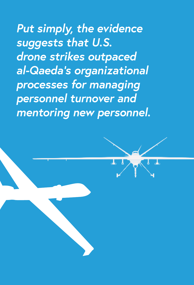*Put simply, the evidence suggests that U.S. drone strikes outpaced al-Qaeda's organizational processes for managing personnel turnover and mentoring new personnel.*

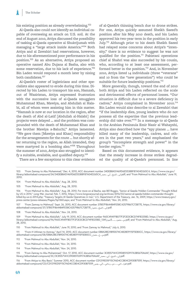his existing position as already overwhelming.<sup>103</sup>

Al-Qaeda also could not identify an individual capable of overseeing an attack on U.S. soil. At the end of August 2010, Attiya discussed the possibility of tasking al-Qaeda operative al Shukrijumah with managing a "large attack inside America."<sup>104</sup> Both Attiya and al Zawahiri had reservations, however, due to his aforementioned poor performance in his position.<sup>105</sup> As an alternative, Attiya proposed an operative named Abu Dujana al Basha, also with some reservation, due to his lack of experience.<sup>106</sup> Bin Laden would respond a month later by nixing both candidates.<sup>107</sup>

Al-Qaeda's roster of logisticians and other specialists also appeared to erode during this time. Directed by bin Laden to transport his son, Hamzah, out of Waziristan, Attiya expressed frustration with the successive loss of al-Qaeda smugglers Muhammad Khan, Mawiya, and Abdullah al Halabi, all of whom were assisting him in this matter. "Hamzah is now at our location in the region, after the death of Abd al-Latif [Abdullah al-Halabi] the projects were delayed … and the problem was compounded with the death of Muhammad Khan and the brother Mawiya a-Baluchi," Attiya lamented. "We gave them [Mawiya and Khan] responsibility for the arrangements for the route … but shortly after returning to the region, as Allah intended, they were martyred in a bombing also."<sup>108</sup> Throughout the summer of 2010, Attiya also struggled to identify a suitable, available, and qualified deputy.<sup>109</sup>

There are a few exceptions to this clear evidence

of al-Qaeda's thinning bench due to drone strikes. For one, Attiya quickly assumed Sheikh Saeed's position after his May 2010 death, and bin Laden approved his two-year term in the position in early July.<sup>110</sup> Although prior to his death Sheikh Saeed had relayed some concerns about Attiya's "intensity," there is no evidence to suggest he was not qualified for the position.<sup>111</sup> Pakistani operations chief al Shahri was also succeeded by his cousin, who, according to at least one assessment, performed better in the position.<sup>112</sup> And, in November 2010, Attiya listed 14 individuals (three "veterans" and 10 from the "new generation") who could be suitable for future leadership positions.<sup>113</sup>

More generally, though, toward the end of 2010 both Attiya and bin Laden reflected on the scale and detrimental effects of personnel losses. "Our situation is difficult due to a severe deficiency in cadres," Attiya complained in November 2010.<sup>114</sup> Bin Laden would also describe to al Zawahiri that "if the leadership dies, young leaders who do not possess all the expertise that the previous leadership did take over."<sup>115</sup> In a message to al-Qaeda in the Arabian Peninsula Emir Nasir al Wahayshi, Attiya also described how the "spy planes … have killed many of the leadership, cadres, and others in the past two years," and emphasized the group's "incomplete strength and power" in the border region.<sup>116</sup>

Based on this documented evidence, it appears that the steady increase in drone strikes degraded the quality of al-Qaeda's personnel. In line

<sup>103 &</sup>quot;From Zamray to Abu Muhammad," Dec. 4, 2010, ACC document number 34DEB8A51469D6E55388F87A04D265C4, [https://www.cia.gov/](https://www.cia.gov/library/abbottabad-compound/34/34DEB8A51469D6E55388F87A04D265C4_إلى_الشيخ_أبي_محمد.pdf) [library/abbottabad-compound/34/34DEB8A51469D6E55388F87A04D265C4\\_](https://www.cia.gov/library/abbottabad-compound/34/34DEB8A51469D6E55388F87A04D265C4_إلى_الشيخ_أبي_محمد.pdf)محمد\_أبي\_الشيخ\_إلى.pdf; and "From Mahmud to Abu Abdullah," June 19, 2010.

<sup>104 &</sup>quot;From Mahmud to Abu Abdullah," Aug. 28, 2010.

<sup>105 &</sup>quot;From Mahmud to Abu Abdullah," Aug. 28, 2010.

<sup>106 &</sup>quot;From Mahmud to Abu Abdullah," Aug. 28, 2010. For more on al Basha, see Bill Roggio, "Senior al Qaeda 'Hidden Commander' Thought Killed by US in 2014," *Long War Journal*, Feb. 1, 2016, [https://www.longwarjournal.org/archives/2016/02/senior-al-qaeda-hidden-commander-thought](https://www.longwarjournal.org/archives/2016/02/senior-al-qaeda-hidden-commander-thought-killed-by-us-in-2014.php)[killed-by-us-in-2014.php;](https://www.longwarjournal.org/archives/2016/02/senior-al-qaeda-hidden-commander-thought-killed-by-us-in-2014.php) "Treasury Targets Al Qaida Operatives in Iran," U.S. Department of the Treasury, Jan. 16, 2009, [https://www.treasury.gov/](https://www.treasury.gov/press-center/press-releases/Pages/hp1360.aspx) [press-center/press-releases/Pages/hp1360.aspx](https://www.treasury.gov/press-center/press-releases/Pages/hp1360.aspx); and "From Mahmud to Abu Abdullah," Nov. 24, 2010.

<sup>107 &</sup>quot;From Zamray to Mahmud," Sept. 26, 2010, ACC document number 37B57F8644B4FE58C42579867C72B77E, [https://www.cia.gov/library/](https://www.cia.gov/library/abbottabad-compound/37/37B57F8644B4FE58C42579867C72B77E_إلى_الشيخ_محمود.pdf) [abbottabad-compound/37/37B57F8644B4FE58C42579867C72B77E\\_](https://www.cia.gov/library/abbottabad-compound/37/37B57F8644B4FE58C42579867C72B77E_إلى_الشيخ_محمود.pdf)محمود\_الشيخ\_إلى.pdf.

<sup>108 &</sup>quot;From Mahmud to Abu Abdullah," Nov. 24, 2010.

<sup>109 &</sup>quot;From Mahmud to Abu Abdullah," July 19, 2010, ACC document number 960C49AFFB077F2F2E3CBCD74F83258D, [https://www.cia.gov/](https://www.cia.gov/library/abbottabad-compound/96/960C49AFFB077F2F2E3CBCD74F83258D_من_محمود_ـ_5شعبان1431.pdf) [library/abbottabad-compound/96/960C49AFFB077F2F2E3CBCD74F83258D\\_1341](https://www.cia.gov/library/abbottabad-compound/96/960C49AFFB077F2F2E3CBCD74F83258D_من_محمود_ـ_5شعبان1431.pdf)شعبان5\_ـ\_محمود\_من.pdf; and "From Mahmud to Abu Abdullah," Aug. 28, 2010.

<sup>110 &</sup>quot;From Mahmud to Abu Abdullah," June 19, 2010; and "From Zamray to Mahmud," July 6, 2010.

<sup>111 &</sup>quot;From H Uthman to Azmray," April 14, 2010, ACC document number E88A28E21B9D074C4828E9115F5E80CC, [https://www.cia.gov/library/](https://www.cia.gov/library/abbottabad-compound/E8/E88A28E21B9D074C4828E9115F5E80CC_من_ح_عثمان.pdf) [abbottabad-compound/E8/E88A28E21B9D074C4828E9115F5E80CC\\_](https://www.cia.gov/library/abbottabad-compound/E8/E88A28E21B9D074C4828E9115F5E80CC_من_ح_عثمان.pdf)عثمان\_ح\_من.pdf.

<sup>112 &</sup>quot;From Mahmud to Abu Abdullah," Nov. 24, 2010.

<sup>113 &</sup>quot;From Mahmud to Abu Abdullah," Nov. 24, 2010.

<sup>114 &</sup>quot;From Mahmud to Abu Abdullah," Nov. 24, 2010.

<sup>115 &</sup>quot;From Zamray to Abu Muhammad," Oct. 17, 2010, ACC document number 3C85571A1C09D85153917A3B5670A6AF, [https://www.cia.gov/](https://www.cia.gov/library/abbottabad-compound/3C/3C85571A1C09D85153917A3B5670A6AF_إلى_الشيخ_أبي_محمد.pdf) [library/abbottabad-compound/3C/3C85571A1C09D85153917A3B5670A6AF\\_](https://www.cia.gov/library/abbottabad-compound/3C/3C85571A1C09D85153917A3B5670A6AF_إلى_الشيخ_أبي_محمد.pdf)محمد\_أبي\_الشيخ\_إلى.pdf.

<sup>116 &</sup>quot;From Attiya to Abu Basir," Summer 2010, ACC document number CD1219ED5F15C96D4CCBE4CD930B7559, [https://www.cia.gov/library/](https://www.cia.gov/library/abbottabad-compound/CD/CD1219ED5F15C96D4CCBE4CD930B7559_الفقرة_التي__من_رسالتي_لأبي_بصير.pdf) [abbottabad-compound/CD/CD1219ED5F15C96D4CCBE4CD930B7559\\_](https://www.cia.gov/library/abbottabad-compound/CD/CD1219ED5F15C96D4CCBE4CD930B7559_الفقرة_التي__من_رسالتي_لأبي_بصير.pdf)بصير\_ألبي\_رسالتي\_من\_\_التي\_الفقرة.pdf.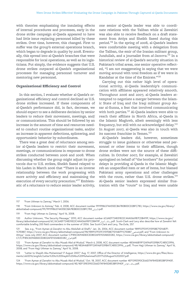with theories emphasizing the insulating effects of internal procedures and processes, early in the drone strike campaign al-Qaeda appeared to have had little issue replacing personnel killed by these strikes. Over time, however, this changed. First to suffer was the group's external operations branch, which began to degrade in quality by 2008. Eventually, this spread into al-Qaeda's branches that were responsible for local operations, as well as its logisticians. Put simply, the evidence suggests that U.S. drone strikes outpaced al-Qaeda's organizational processes for managing personnel turnover and mentoring new personnel.

#### **Organizational Efficiency and Control**

In this section, I evaluate whether al-Qaeda's organizational efficiency and control declined as U.S. drone strikes increased. If these components of al-Qaeda's performance did, in fact, decrease, we should expect to see a deliberate decision by senior leaders to reduce their movement, meetings, and/ or communications. This should be followed by an increase in the amount of time and resources needed to conduct routine organizational tasks, and/or an increase in apparent defections, splintering, and opportunistic behavior by subordinates.

There was a great deal of reluctance among senior al-Qaeda leaders to restrict their movement, meetings, or communications in response to drone strikes conducted between 2006 and 2008. When discussing whether the group might adjust its protocols due to U.S. strikes, Sheikh Saeed relayed to bin Laden in March 2006 that "There is an inverse relationship between the work progressing with more activity and efficiency and maintaining the execution of every security precaution."<sup>117</sup> Emblematic of a reluctance to reduce senior leader activity,

one senior al-Qaeda leader was able to coordinate relations with the Taliban while al Zawahiri was also able to receive feedback on a draft statement from Attiya and Sheikh Saeed during this period.<sup>118</sup> In the spring of 2008, al-Qaeda's leaders were comfortable meeting with a delegation from the Taliban, the emir of the Iranian militant group, Jundullah, and a journalist from *al-Jazeera*. <sup>119</sup> In a historical review of al-Qaeda's security situation in Pakistan's tribal areas, one senior operative reflected, "I am not exaggerating in saying that we were moving around with total freedom as if we were in Kandahar at the time of the Emirate*.*"<sup>120</sup>

Carrying out this rather high level of operational activity, al-Qaeda leadership's communication with affiliates appeared relatively smooth. Throughout 2006 and 2007, al-Qaeda leaders attempted to negotiate a merger between the Islamic State of Iraq and the Iraqi militant group Ansar al-Sunna, a feat that involved communicating with both parties.<sup>121</sup> Al-Qaeda leaders were able to reach their affiliate in North Africa, al-Qaeda in the Islamic Maghreb, albeit seemingly with less frequency, but still with no acknowledged delay.<sup>122</sup> In August 2007, al-Qaeda was also in touch with its nascent franchise in Yemen.<sup>123</sup>

Al-Qaeda's leaders did, however, sometimes struggle to issue guidance or otherwise send personnel or other items to their affiliates, though drone strikes were not the source of these difficulties. In October 2007, for example, al Zawahiri apologized on behalf of "the brothers" for potential delays in providing al-Qaeda in the Islamic Maghreb an unspecified item or set of items, but blamed Pakistani army operations and other challenges with the route, rather than U.S. drone strikes.<sup>124</sup> Al-Qaeda senior leaders expressed similar frustration with the "route" to Iraq and were unable

- 122 "From Ayman al-Zawahiri to Abu Musab Abd al-Wudud," March 6, 2008, ACC document number 483A46B19F12AFA6F039BA7C485C0996, [https://www.cia.gov/library/abbottabad-compound/48/483A46B19F12AFA6F039BA7C485C0996\\_](https://www.cia.gov/library/abbottabad-compound/48/483A46B19F12AFA6F039BA7C485C0996_جز.pdf)جز.pdf; "From Hajji Uthman to Zamray," April 16, 2008; and "From Hajji Uthman to Zamray," April 16, 2008.
- 123 "Letter to Shaykh Abu Muhammad 17 August 2007," Aug. 17, 2007, Office of the Director of Intelligence, [https://www.dni.gov/files/docu](https://www.dni.gov/files/documents/ubl2016/english/Letter%20to%20Shaykh%20Abu%20Muhammad%2017%20August%202007.pdf)[ments/ubl2016/english/Letter%20to%20Shaykh%20Abu%20Muhammad%2017%20August%202007.pdf](https://www.dni.gov/files/documents/ubl2016/english/Letter%20to%20Shaykh%20Abu%20Muhammad%2017%20August%202007.pdf).

124 "From Ayman al-Zawahiri to Abu Musab Abd al-Wudud," Oct. 18, 2007, ACC document number 4EF139E590CE66D7AF845D853BF0940F, [https://www.cia.gov/library/abbottabad-compound/4E/4EF139E590CE66D7AF845D853BF0940F\\_](https://www.cia.gov/library/abbottabad-compound/4E/4EF139E590CE66D7AF845D853BF0940F_وسالة_الجزائر.pdf)اجلزائر\_وسالة.pdf.

<sup>117 &</sup>quot;From Uthman to Zamray," March 1, 2006.

<sup>118 &</sup>quot;From Unknown to Azmray," Feb. 4, 2008, ACC document number 9919986374A55ECBA780B00CD2BFC783, [https://www.cia.gov/library/](https://www.cia.gov/library/abbottabad-compound/99/9919986374A55ECBA780B00CD2BFC783_لازمراي.pdf) [abbottabad-compound/99/9919986374A55ECBA780B00CD2BFC783\\_](https://www.cia.gov/library/abbottabad-compound/99/9919986374A55ECBA780B00CD2BFC783_لازمراي.pdf)الزمراي.pdf.

<sup>119 &</sup>quot;From Hajji Uthman to Zamray," April 16, 2008.

<sup>120</sup> Author Unknown, "The Security Message," 2010, ACC document number 6C6AEF724831822C4AA066987CDB419F, [https://www.cia.gov/](https://www.cia.gov/library/abbottabad-compound/6C/6C6AEF724831822C4AA066987CDB419F_رسالة_أمنية.pdf) [library/abbottabad-compound/6C/6C6AEF724831822C4AA066987CDB419F\\_](https://www.cia.gov/library/abbottabad-compound/6C/6C6AEF724831822C4AA066987CDB419F_رسالة_أمنية.pdf)أمنية\_رسالة.pdf. Scott-Clark and Levy also describe how al Zawahiri felt comfortable briefing 200 field commanders in the summer of 2006. See Scott-Clark and Levy, *The Exile*, 257.

<sup>121</sup> See, e.g., "From Ayman al-Zawahiri to Abu Abdullah al-Shafi'i," Jan. 26, 2006, ACC document number 989F07FD1F215958E71D16B7F-1CFE887, [https://www.cia.gov/library/abbottabad-compound/98/989F07FD1F215958E71D16B7F1CFE887\\_](https://www.cia.gov/library/abbottabad-compound/98/989F07FD1F215958E71D16B7F1CFE887_للشافعي.pdf)للشافعي.pdf; and "From Unknown to Attiya," June-July 2007, ACC document number C7F85C829AEB3CED802AFE920AB2D282, [https://www.cia.gov/library/abbottabad-compound/](https://www.cia.gov/library/abbottabad-compound/C7/C7F85C829AEB3CED802AFE920AB2D282_العراق.pdf) [C7/C7F85C829AEB3CED802AFE920AB2D282\\_](https://www.cia.gov/library/abbottabad-compound/C7/C7F85C829AEB3CED802AFE920AB2D282_العراق.pdf)العراق.pdf.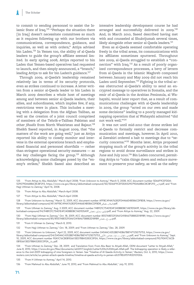to commit to sending personnel to assist the Islamic State of Iraq.<sup>125</sup> "Perhaps the situation there [in Iraq] doesn't necessitate committees so much as it requires following up with our brothers via communications, correspondence, guidance, and inquiries, as well as with orders," Attiya advised bin Laden.<sup>126</sup> In Yemen too, the ability of al-Qaeda leaders to guide the group's affiliate seemed limited. In early spring 2008, Attiya reported to bin Laden that Yemen-based operatives had requested to launch, and then simply announced, a "branch," leading Attiya to ask for bin Laden's guidance.<sup>127</sup>

Through 2009, al-Qaeda's leadership remained relatively lax in terms of its security protocols, even as strikes continued to increase. A letter written from a senior al-Qaeda leader to bin Laden in March 2009 describes a whole host of meetings among and between senior al-Qaeda leaders, their allies, and subordinates, which implies few, if any, restrictions were in place. This includes a meeting with a delegation from the Afghan Taliban, as well as the creation of a joint council comprised of members of the Tehrik-e-Taliban Pakistan and other *jihadis* from North Waziristan and Bajaur.<sup>128</sup> Sheikh Saeed reported, in August 2009, that "the matters of the work are going well," just as Attiya reported his ability to closely monitor and intervene in the external operations branch and emphasized financial and personnel shortfalls — rather than stringent operational security measures — as the key challenges facing the group.<sup>129</sup> Although acknowledging some challenges posed by the "enemy's strikes," Sheikh Saeed also described an intensive leadership development course he had arranged and successfully delivered in 2009.<sup>130</sup> And, in March 2010, Saeed described having met with and counseled al Shukrijumah several times, likely alongside other senior al-Qaeda leaders.<sup>131</sup>

Even as al-Qaeda seemed comfortable operating freely in the tribal areas, its communications with its affiliates sometimes sputtered. Throughout late 2009, al-Qaeda struggled to establish a "connection" with Iraq.<sup>132</sup> As a result of poorly organized correspondence processes, a bevy of letters from al-Qaeda in the Islamic Maghreb composed between January and May 2009 did not reach bin Laden until September.<sup>133</sup> Fighting in the tribal areas obstructed al-Qaeda's ability to send an encrypted message to operatives in Somalia, and the emir of al-Qaeda in the Arabian Peninsula, al Wahayshi, would later report that, as a result of communications challenges with al-Qaeda leadership in 2009, the group "acted on our own and made some decisions" leading to a poorly managed kidnapping operation that al Wahayshi admitted "did not work well."<sup>134</sup>

It was not until mid-2010 that drone strikes led al-Qaeda to formally restrict and decrease communication and meetings, however. In April 2010, al Zawahiri ordered a halt to meetings due to "security concerns."<sup>135</sup> Months later, Attiya proposed stopping much of the group's activity in the tribal regions to avoid drone surveillance and strikes in June and July 2010.<sup>136</sup> Bin Laden concurred, permitting Attiya to "calm things down and reduce movement to preserve your safety, as well as the safety

132 "From Hajji Uthman to Zamray," Oct. 18, 2009; and "From Uthman to Zamray," Dec. 28, 2009.

135 "From H Uthman to Azmray," April 14, 2010.

136 "From Mahmud to Abu Abdullah," June 19, 2010; and "From Mahmud to Abu Abdullah," July 19, 2010.

<sup>125 &</sup>quot;From Attiya to Abu Abdullah," March-April 2008; "From Unknown to Azmray," March 5, 2008, ACC document number 5D66F9CEFDDA-529079DA6886C8CBF293, [https://www.cia.gov/library/abbottabad-compound/5D/5D66F9CEFDDA529079DA6886C8CBF293\\_](https://www.cia.gov/library/abbottabad-compound/5D/5D66F9CEFDDA529079DA6886C8CBF293_لازمر.pdf)الزمر.pdf; and "From Hajji Uthman to Zamray," April 16, 2008.

<sup>126 &</sup>quot;From Attiya to Abu Abdullah," March-April 2008.

<sup>127 &</sup>quot;From Attiya to Abu Abdullah," March-April 2008.

<sup>128 &</sup>quot;From Unknown to Azmray," March 12, 2009, ACC document number AFFBC494A76282FD4466E4B586CDFBD8, [https://www.cia.gov/](https://www.cia.gov/library/abbottabad-compound/AF/AFFBC494A76282FD4466E4B586CDFBD8_السلام_عليكم.pdf) [library/abbottabad-compound/AF/AFFBC494A76282FD4466E4B586CDFBD8\\_](https://www.cia.gov/library/abbottabad-compound/AF/AFFBC494A76282FD4466E4B586CDFBD8_السلام_عليكم.pdf)عليكم\_السالم.pdf.

<sup>129 &</sup>quot;From Uthman to Zamray," Aug. 3 2009, ACC document number 94B921C75401E4F240BBDBC1AE9D5A9F, [https://www.cia.gov/library/ab](https://www.cia.gov/library/abbottabad-compound/94/94B921C75401E4F240BBDBC1AE9D5A9F_لمولوي_زمراي_شعبان.pdf)[bottabad-compound/94/94B921C75401E4F240BBDBC1AE9D5A9F\\_](https://www.cia.gov/library/abbottabad-compound/94/94B921C75401E4F240BBDBC1AE9D5A9F_لمولوي_زمراي_شعبان.pdf)شعبان\_زمراي\_ملولوي.pdf; and "From Attiya to Azmray," Aug. 22, 2009.

<sup>130 &</sup>quot;From Hajji Uthman to Zamray," Oct. 18, 2009, ACC document number 8557A8E5293A612418A6758882D189B9, [https://www.cia.gov/](https://www.cia.gov/library/abbottabad-compound/85/8557A8E5293A612418A6758882D189B9_من_ح_عثمان.pdf) [library/abbottabad-compound/85/8557A8E5293A612418A6758882D189B9\\_](https://www.cia.gov/library/abbottabad-compound/85/8557A8E5293A612418A6758882D189B9_من_ح_عثمان.pdf)عثمان\_ح\_من.pdf.

<sup>131 &</sup>quot;From H Uthman to Zamray," March 8, 2010.

<sup>133 &</sup>quot;From Unknown to Unknown," April 22, 2009, ACC document number D454AC4352BEF4DB67B8747125E75753, [https://www.cia.gov/](https://www.cia.gov/library/abbottabad-compound/D4/D454AC4352BEF4DB67B8747125E75753_من_الجزائر_ـ_غرة_جمادى_الأولى.pdf) [library/abbottabad-compound/D4/D454AC4352BEF4DB67B8747125E75753\\_](https://www.cia.gov/library/abbottabad-compound/D4/D454AC4352BEF4DB67B8747125E75753_من_الجزائر_ـ_غرة_جمادى_الأولى.pdf)األولى\_جمادى\_غرة\_ـ\_اجلزائر\_من.pdf; and "From Unknown to Azmray," Sept. 10, 2009, ACC document number 90A1C16CB0B1E6613ED78BA5283C0FEA, [https://www.cia.gov/library/abbottabad-compound/90/90A1C16CB-](https://www.cia.gov/library/abbottabad-compound/90/90A1C16CB0B1E6613ED78BA5283C0FEA_سلام.pdf)[0B1E6613ED78BA5283C0FEA\\_](https://www.cia.gov/library/abbottabad-compound/90/90A1C16CB0B1E6613ED78BA5283C0FEA_سلام.pdf)سالم.pdf.

<sup>134 &</sup>quot;From Uthman to Zamray," Dec. 28, 2009; and Translation from: From Abu Basir to Atiyah-Allah, ODNI document "Letter to 'Atiyah-Allah," June 8, 2010, [https://www.dni.gov/files/documents/ubl2017/english/Letter%20to%20Atiyah-Allah.pdf.](https://www.dni.gov/files/documents/ubl2017/english/Letter%20to%20Atiyah-Allah.pdf) The kidnapping operation is likely a reference to the mid-2009 kidnapping of nine foreigners in Yemen. See "Timeline of Al Qaeda Activity in Yemen," *Reuters*, Oct. 6, 2010, [https://www.](https://www.reuters.com/article/us-yemen-attack-qaeda-timeline/timeline-al-qaeda-activity-in-yemen-idUSTRE6951VR20101006) [reuters.com/article/us-yemen-attack-qaeda-timeline/timeline-al-qaeda-activity-in-yemen-idUSTRE6951VR20101006.](https://www.reuters.com/article/us-yemen-attack-qaeda-timeline/timeline-al-qaeda-activity-in-yemen-idUSTRE6951VR20101006)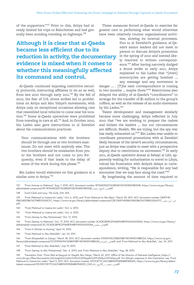of the supporters."137 Prior to this, Attiya had already limited his trips to Baluchistan and had generally been avoiding traveling on highways.<sup>138</sup>

# **Although it is clear that al-Qaeda became less efficient due to its reduction in activity, the documentary evidence is mixed when it comes to whether this meaningfully affected its command and control.**

Al-Qaeda continued imposing restrictive security protocols, instructing affiliates to do so as well, from late 2010 through early 2011.<sup>139</sup> By the fall of 2010, the fear of U.S. drone strikes led to prohibitions on Attiya and Abu Yahya's movements, with Attiya only on exceptional occasions allowing cars that resembled local vehicles to come near his location.<sup>140</sup> Some al-Qaeda operatives were prohibited from traveling in cars at all.<sup>141</sup> And, in October 2010, bin Laden also gave instructions to al Zawahiri about his communication practices:

Your communications with the brothers should be through one or two brothers maximum. Do not meet with anybody else. The two brothers should be emissaries from you to the brothers and not come to you frequently, even if that leads to the delay of some of the work during this phase.<sup>142</sup>

Bin Laden would elaborate on this guidance in a similar note to Attiya.<sup>143</sup>

These measures forced al-Qaeda to exercise far greater care in performing what would otherwise have been relatively routine organizational activi-

> ties, slowing its internal processes. Due to al Zawahiri's guidance, al-Qaeda's senior leaders did not meet in person to discuss Attiya's promotion in the spring of 2010 and instead likely resorted to written correspondence.<sup>144</sup> After having narrowly dodged a drone strike in early 2011, Attiya explained to bin Laden that "[even] motorcycles are getting bombed … any message and any movement is

danger … . [T]he next correspondence is coming in two months … maybe three."<sup>145</sup> Restrictions also delayed the ability of al-Qaeda's "coordinators" to arrange for the transfer of \$1 million to the group's coffers, as well as the release of an audio statement by bin Laden.<sup>146</sup>

Talent development and management similarly became more challenging. Attiya reflected in July 2010 that "we are working to prepare the cadres and initiate the leaders … but our circumstances are difficult, Sheikh. We are trying, but the spy war has really exhausted us."<sup>147</sup> Bin Laden was unable to coordinate personnel promotions with al Zawahiri likely because of the latter's security circumstances, just as Attiya was unable to meet with a prospective deputy due to restrictions on movement.<sup>148</sup> In early 2011, al-Qaeda operative Annas al Sabayi al Libi, apparently waiting for authorization to travel to Libya, voiced his frustration with Attiya's delays in correspondence, writing, "He is responsible for any bad encounter that we may face along the road."<sup>149</sup>

By lengthening the amount of time required to

- 139 "From Mahmud to Usama bin Ladin," Oct. 6, 2010; and "From Mahmud to Abu Basir," March 28, 2011, ACC document number CB0FF4E-0BA2482DB676CF88E03260CFC, https://www.cia.gov/library/abbottabad-compound/CB/CB0FF4E0BA2482DB676CF88E03260CFC [pdf.](https://www.cia.gov/library/abbottabad-compound/CB/CB0FF4E0BA2482DB676CF88E03260CFC_إلى_أبي_بصير.pdf)
- 140 "From Mahmud to Usama bin Ladin," Oct. 6, 2010.
- 141 "From Mahmud to Usama bin Ladin," Oct. 6, 2010.
- 142 "From Zamray to Abu Muhammad," Oct. 17, 2010.
- 143 "From Zamray to Mahmud," Oct. 17, 2010, ACC document number 3CADE28F8CD5468054BFE960634205AA, [https://www.cia.gov/library/](https://www.cia.gov/library/abbottabad-compound/3C/3CADE28F8CD5468054BFE960634205AA_إلى_محمود.pdf) [abbottabad-compound/3C/3CADE28F8CD5468054BFE960634205AA\\_](https://www.cia.gov/library/abbottabad-compound/3C/3CADE28F8CD5468054BFE960634205AA_إلى_محمود.pdf)محمود\_إلى.pdf.
- 144 "From H Uthman to Azmray," April 14, 2010.
- 145 "From Mahmud to Abu Abdullah," Jan. 24, 2011.
- 146 "From Attiyatallah to Zubayr," March 28, 2011, ACC document number 5709A194C55BD93BF14D7849014BBCEA, [https://www.cia.gov/](https://www.cia.gov/library/abbottabad-compound/57/5709A194C55BD93BF14D7849014BBCEA_إلى_الصومال.pdf) [library/abbottabad-compound/57/5709A194C55BD93BF14D7849014BBCEA\\_](https://www.cia.gov/library/abbottabad-compound/57/5709A194C55BD93BF14D7849014BBCEA_إلى_الصومال.pdf)الصومال\_إلى.pdf; and "From Mahmud to Abu Abdullah," Jan. 24, 2011.
- 147 "From Mahmud to Abu Abdullah," July 19, 2010.
- 148 "From Zamray to Abu Muhammad," Dec. 4, 2010; and "From Mahmud to Abu Abdullah," Aug. 28, 2010.
- 149 Translation from: "From 'Abd al-Qayyum to Shaykh Abu Yahya," March 20, 2011, Office of the Director of National Intelligence, [https://](https://www.dni.gov/files/documents/ubl/english2/Letter%20to%20Shaykh%20%20Abu%20Yahya.pdf) [www.dni.gov/files/documents/ubl/english2/Letter%20to%20Shaykh%20%20Abu%20Yahya.pdf.](https://www.dni.gov/files/documents/ubl/english2/Letter%20to%20Shaykh%20%20Abu%20Yahya.pdf) For Attiya's response to this frustration, see "From Mahmud to Usama bin Ladin," April 5, 2011, ACC document number D9C93F71C2A214B89A990EB4B87B3DD5, [https://www.cia.gov/library/abbot](https://www.cia.gov/library/abbottabad-compound/D9/D9C93F71C2A214B89A990EB4B87B3DD5_من_محمود_ـ_15ربيع_الآخر1432.pdf). [tabad-compound/D9/D9C93F71C2A214B89A990EB4B87B3DD5\\_2341](https://www.cia.gov/library/abbottabad-compound/D9/D9C93F71C2A214B89A990EB4B87B3DD5_من_محمود_ـ_15ربيع_الآخر1432.pdf)<br>.pdf من\_محمود\_\_51ربيع\_الآخر.pdf

<sup>137 &</sup>quot;From Azmray to Mahmud," Aug. 7, 2010, ACC document number 9F50AE5D07263B5AE13D7EA8501B050B, [https://www.cia.gov/library/](https://www.cia.gov/library/abbottabad-compound/9F/9F50AE5D07263B5AE13D7EA8501B050B_إلى_الشيخ_محمود.pdf) [abbottabad-compound/9F/9F50AE5D07263B5AE13D7EA8501B050B\\_](https://www.cia.gov/library/abbottabad-compound/9F/9F50AE5D07263B5AE13D7EA8501B050B_إلى_الشيخ_محمود.pdf)محمود\_الشيخ\_إلى.pdf.

<sup>138</sup> Scott-Clark and Levy, *The Exile*, 324, 350.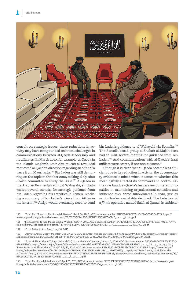

consult on strategic issues, these reductions in activity may have compounded technical challenges in communications between al-Qaeda leadership and its affiliates. In March 2010, for example, al-Qaeda in the Islamic Maghreb Emir Abu Musab al Droukdal requested al-Qaeda's direction regarding an offer of a truce from Mauritania.150 Bin Laden was still demurring on the topic in October 2010, tasking al-Qaeda's *Sharia* committee to study the issue.<sup>151</sup> Al-Qaeda in the Arabian Peninsula's emir, al Wahayshi, similarly waited several months for strategic guidance from bin Laden regarding his activities in Yemen, receiving a summary of bin Laden's views from Attiya in the interim.<sup>152</sup> Attiya would eventually need to send

bin Laden's guidance to al Wahayshi via Somalia.<sup>153</sup> The Somalia-based group al-Shabab al-Mujahideen had to wait several months for guidance from bin Laden.154 And communications with al-Qaeda's Iraqi affiliate were scarce, if not non-existent.<sup>155</sup>

Although it is clear that al-Qaeda became less efficient due to its reduction in activity, the documentary evidence is mixed when it comes to whether this meaningfully affected its command and control. On the one hand, al-Qaeda's leaders encountered difficulties in maintaining organizational cohesion and influence over some subordinates in 2010, just as senior leader availability declined. The behavior of a *jihadi* operative named Saleh al Qarawi is emblem-

151 "From Zamray to Abu Musab 'Abd al-Wudud," Oct. 17, 2010, ACC document number 15AF1B1B0E9F780EAA340F332A1EFC2C, [https://www.](https://www.cia.gov/library/abbottabad-compound/15/15AF1B1B0E9F780EAA340F332A1EFC2C_إلى_الأخ_الكريم_أبي_مصعب_عبد_الودود.pdf) [cia.gov/library/abbottabad-compound/15/15AF1B1B0E9F780EAA340F332A1EFC2C\\_](https://www.cia.gov/library/abbottabad-compound/15/15AF1B1B0E9F780EAA340F332A1EFC2C_إلى_الأخ_الكريم_أبي_مصعب_عبد_الودود.pdf)الودود\_عبد\_مصعب\_أبي\_الكرمي\_األخ\_إلى.pdf.

152 "From Attiya to Abu Basir," July 18, 2010.

<sup>150 &</sup>quot;From Abu Musab to Abu Abdullah Usama," March 16, 2010, ACC document number 59D5DE4418BC6516D1F9A5C34CC68B15, [https://](https://www.cia.gov/library/abbottabad-compound/59/59D5DE4418BC6516D1F9A5C34CC68B15_رسالة_أبي_مصعب.pdf) [www.cia.gov/library/abbottabad-compound/59/59D5DE4418BC6516D1F9A5C34CC68B15\\_](https://www.cia.gov/library/abbottabad-compound/59/59D5DE4418BC6516D1F9A5C34CC68B15_رسالة_أبي_مصعب.pdf)مصعب\_أبي\_رسالة.pdf.

<sup>153 &</sup>quot;Attiya to Abu al-Zubayr Mukhtar," Dec. 27, 2010, ACC document number 3CA631E6F53FF64B537E17699631F035, [https://www.cia.gov/library/](https://www.cia.gov/library/abbottabad-compound/3C/3CA631E6F53FF64B537E17699631F035_إلى%20الشيخ%20المختار%20أبي%20الزبير%20ـ%2020محرم1432.pdf) .<br>.pdf إلى2%الشيخ%02لالدان بو20%، 23%، 202% ابن 23% 2340202% محرما 2341&073C/3CA631E6F53FF64B537E17699631F035\_2

<sup>154 &</sup>quot;From Mukhtar Abu al-Zubayr (Sahal al-Din) to the General Command," March 5, 2010, ACC document number 5A735A9854C11FF664CE0D-.<br>يافق الصومال\_22\_ين المقاطيعية بيع المسابع 1689836E980D, https://www.cia.gov/library/abbottabad-compound/5A/5A735A9854C11FF664CE0D89836E980D "From Attiya to Mukhtar Abu al-Zubayr," July 15, 2010, ACC document number E41A9580394CFFE569C2DBC23CFD46F9, [https://www.cia.gov/](https://www.cia.gov/library/abbottabad-compound/E4/E41A9580394CFFE569C2DBC23CFD46F9_للصومال%20ـ%203شعبان1431.pdf) [library/abbottabad-compound/E4/E41A9580394CFFE569C2DBC23CFD46F9\\_1341](https://www.cia.gov/library/abbottabad-compound/E4/E41A9580394CFFE569C2DBC23CFD46F9_للصومال%20ـ%203شعبان1431.pdf)شعبان302%ـ02%للصومال.pdf; and "From Zamray to Mukhtar Abu al-Zubayr," Aug. 7, 2010, ACC document number B3C98DC07E1267CEB82826E8FFDA7E23, [https://www.cia.gov/library/abbottabad-compound/B3/](https://www.cia.gov/library/abbottabad-compound/B3/B3C98DC07E1267CEB82826E8FFDA7E23_إلى_مختار_أبي_الزبير.pdf) [B3C98DC07E1267CEB82826E8FFDA7E23\\_](https://www.cia.gov/library/abbottabad-compound/B3/B3C98DC07E1267CEB82826E8FFDA7E23_إلى_مختار_أبي_الزبير.pdf)الزبير\_أبي\_مختار\_إلى.pdf.

<sup>155 &</sup>quot;From Abu Abdullah to Mahmud," April 26, 2011, ACC document number 0CF1936E0C5C7C57752893AB2552D666, [https://www.cia.gov/](https://www.cia.gov/library/abbottabad-compound/0C/0CF1936E0C5C7C57752893AB2552D666_إلى_الشيخ_محمود.pdf) [library/abbottabad-compound/0C/0CF1936E0C5C7C57752893AB2552D666\\_](https://www.cia.gov/library/abbottabad-compound/0C/0CF1936E0C5C7C57752893AB2552D666_إلى_الشيخ_محمود.pdf)محمود\_الشيخ\_إلى.pdf.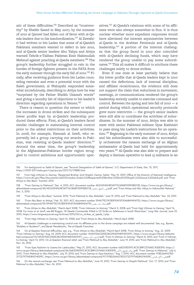atic of these difficulties.156 Described as "trustworthy" by Sheikh Saeed in May 2007, by the summer of 2010 al Qarawi had fallen out of favor with al-Qaeda leaders due to his insubordination.157 Al Zawahiri had written to bin Laden that some of al-Qaeda's Pakistani members wanted to defect in late 2010, and al-Qaeda senior leaders Abu Yahya and Attiya warned Tehrik-e-Taliban Pakistan Emir Hakimullah Mehsud against poaching al-Qaeda members.<sup>158</sup> The group's leadership further struggled to rein in the hordes of foreign fighters present in the FATA from the early summer through the early fall of 2010.<sup>159</sup> Finally, after receiving guidance from bin Laden counseling restraint and even a potential truce with the Saleh government, al Wahayshi responded somewhat incredulously, describing to Attiya how he was "surprised by the Father Sheikh Usama's words" and giving a laundry list of objections to his leader's direction regarding operations in Yemen.<sup>160</sup>

There is reason to question the extent to which the increases in drone strikes and the subsequent lower profile kept by al-Qaeda's leadership produced these effects. First, al-Qaeda's leaders faced similar challenges in maintaining internal control prior to the added restrictions on their activities. In 2008, for example, Hamzah al Jawfi, who reportedly led a group carrying out attacks in Pakistan, was resisting al-Qaeda leaders' direction.<sup>161</sup> Around the same time, the group's leadership in the Afghanistan-Pakistan border region struggled to control ambitious and opportunistic oper-

atives.162 Al-Qaeda's relations with some of its affiliates were also always somewhat in flux. It is thus unclear whether more expedient responses would have alleviated the interest asymmetries between al-Qaeda in the Arabian Peninsula and al-Qaeda leadership.163 A portion of the internal challenges that the group faced in 2010 also coincided with al-Qaeda's declining funds, which may have rendered the group unable to pay some subordinates.<sup>164</sup> This all makes it difficult to attribute these challenges solely to drone strikes.

Even if one does at least partially believe that the lower profile that al-Qaeda leaders kept in 2010 caused the defections, lack of internal discipline, and affiliate recalcitrance, the evidence still does not support the claim that reductions in movement, meetings, or communications rendered the group's leadership entirely unable to exercise command and control. Between the spring and late fall of 2010 — a period during which operational security protocols grew more restrictive — the group's senior leaders were still able to coordinate the activities of subordinates. In the summer of 2010, Attiya was able to meet with senior Pakistani militant Ilyas Kashmiri to pass along bin Laden's instructions for an operation.<sup>165</sup> Beginning in the early summer of 2010, Attiya and his subordinates were also able to successfully orchestrate the ransom exchange of an Afghan ambassador al-Qaeda had held for approximately two years.<sup>166</sup> Al-Qaeda was also able to prepare and deploy a German operative to lead 15 militants in an

- 158 "From Zamray to Mahmud," Dec. 4, 2010, ACC document number 4D24394961B76FF76C8A8F559FEBD17B, [https://www.cia.gov/library/](https://www.cia.gov/library/abbottabad-compound/4D/4D24394961B76FF76C8A8F559FEBD17B_إلى_الشيخ_محمود.pdf) [abbottabad-compound/4D/4D24394961B76FF76C8A8F559FEBD17B\\_](https://www.cia.gov/library/abbottabad-compound/4D/4D24394961B76FF76C8A8F559FEBD17B_إلى_الشيخ_محمود.pdf)محمود\_الشيخ\_إلى.pdf; and "From Attiya and Abu Yahya to Hakimullah Mehsud," Dec. 3, 2010.
- 159 "From Attiya to Abu Basir," Summer 2010; "From Mahmud to Abu Abdullah," June 19, 2010; and "From Mahmud to Abu Abdullah," Nov. 24, 2010.
- 160 "From Abu Basir to Attiya," Feb. 10, 2011, ACC document number 594477E27A78DFEAF0F3046B49404753, [https://www.cia.gov/library/](https://www.cia.gov/library/abbottabad-compound/59/594477E27A78DFEAF0F3046B49404753_رسالة_أبو_بصير.pdf) [abbottabad-compound/59/594477E27A78DFEAF0F3046B49404753\\_](https://www.cia.gov/library/abbottabad-compound/59/594477E27A78DFEAF0F3046B49404753_رسالة_أبو_بصير.pdf)بصير\_أبو\_رسالة.pdf.
- 161 "From Attiya to Abu Abdullah," March-April 2008; "From Unknown to Azmray," March 5, 2008; and "From Hajji Uthman to Zamray," April 16, 2008. For more on al Jawfi, see Bill Roggio, "Al Qaeda Commander Killed in US Strike on Safehouse in South Waziristan," *Long War Journal*, June 29, 2010, [https://www.longwarjournal.org/archives/2010/06/us\\_strikes\\_al\\_qaeda\\_1.php.](https://www.longwarjournal.org/archives/2010/06/us_strikes_al_qaeda_1.php)

162 "From Hajji Uthman to Zamray," April 16, 2008; and "From Attiya to Abu Abdullah," March-April 2008.

- 163 Al-Qaeda's challenges in maintaining control over its affiliates prior to the drone campaign are indeed well documented. See, e.g., Byman, "Buddies or Burdens?"; and Barak Mendelsohn, *The al-Qaeda Franchise*.
- 164 On al-Qaeda's financial difficulties, see, e.g., "From Attiya to Abu Abdullah," March-April 2008; "From Attiya to Azmray," Aug. 22, 2009; "From Uthman to Zamray," Aug. 24, 2009, ACC document number 144347D6CD5DE28229D6944E94D151F1, [https://www.cia.gov/library/abbotta](https://www.cia.gov/library/abbottabad-compound/14/144347D6CD5DE28229D6944E94D151F1_لأزمراي_أول_رمضان.pdf)bad-compound/14/144347D6CD5DE28229D6944E94D151F1:أزمراي—أولــرمضان/bad-compound/14/144347D6CD5DE28229D6944E94D<br>"to Azmray," April 14, 2010. On al-Qaeda's financial relief, see "From Mahmud to Abu Abdullah," June 19, 2010; Nov. 24, 2010.
- 165 "From Ilyas Kashmiri to Usama bin LadinLaden," May 31, 2010, ACC document number 66E535E591C4C5C88FCD76AEC43DE5F8, [https://](https://www.cia.gov/library/abbottabad-compound/66/66E535E591C4C5C88FCD76AEC43DE5F8_رسالة_للشيخ_الأمير.pdf) [www.cia.gov/library/abbottabad-compound/66/66E535E591C4C5C88FCD76AEC43DE5F8\\_](https://www.cia.gov/library/abbottabad-compound/66/66E535E591C4C5C88FCD76AEC43DE5F8_رسالة_للشيخ_الأمير.pdf)بسالتــللشيخــالأمير.pdf; "From Zamray to Mahmud," July 6,<br>2010; "From Mahmud to Abu Abdullah," July 19, 2010; and "From Zamray to Ilyas Kashmiri 2173279754D84214009C, [https://www.cia.gov/library/abbottabad-compound/97/978D26A427ED2173279754D84214009C\\_](https://www.cia.gov/library/abbottabad-compound/97/978D26A427ED2173279754D84214009C_إلى_الأخ_إلياس.pdf)إلياس\_األخ\_إلى.pdf.
- 166 On the ransom exchange, see "From Mahmud to Abu Abdullah," June 19, 2010; "From Zamray to Shaykh Mahmud," Oct. 17, 2010; and "From Mahmud to Abu Abdullah," Nov. 24, 2010.

<sup>156</sup> For background on Saleh al Qarawi, see "Terrorist Designation of Saleh al-Qarawi," U.S. Department of State, Dec. 15, 2011, [https://2009-2017.state.gov/r/pa/prs/ps/2011/12/178882.htm.](https://2009-2017.state.gov/r/pa/prs/ps/2011/12/178882.htm)

<sup>157</sup> From Hajji Uthman to Zamray, "Respected Brother, kind Shaykh, Zamrai, Sahib," May 15, 2007, Office of the Director of National Intelligence, <https://www.dni.gov/files/documents/ubl2016/arabic/Arabic%20Respected%20Brother,%20kind%20Shaykh,%20Zamrai,%20Sahib.pdf>; and "From Attiya to Abu Basir," Summer 2010.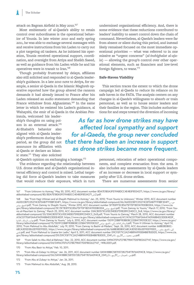attack on Bagram Airfield in May 2010.<sup>167</sup>

Most emblematic of al-Qaeda's ability to retain control over subordinates is the operational behavior of Younis. In late winter 2010 and early spring 2011, he was able to exchange several messages with and receive instructions from bin Laden to carry out a plot targeting oil tankers. As he initiated his operation, Younis received operational support, coordination, and oversight from Attiya and Sheikh Saeed, as well as guidance from bin Laden while he and his operatives were in transit to Iran.<sup>168</sup>

Though probably frustrated by delays, affiliates also still solicited and responded to al-Qaeda leadership's guidance. In a late 2010 note to Attiya, for example, a senior al-Qaeda in the Islamic Maghreb operative reported how the group altered the ransom demands it had already issued to France after bin Laden released an audio statement demanding that France withdraw from Afghanistan.<sup>169</sup> In the same letter in which he resisted bin Laden's guidance, al Wahayshi, the emir of al-Qaeda in the Arabian Pen-

insula, welcomed his leadership's thoughts on using poison in an external attack.<sup>170</sup> Al-Shabab's behavior also aligned with al-Qaeda leadership's preferences during this period, as the group did not announce its affiliation with al-Qaeda or declare an Islamic state.<sup>171</sup> They also solicited

al-Qaeda's opinion on exchanging a hostage.<sup>172</sup>

The evidence regarding the relationship between U.S. drone strikes and al-Qaeda's organizational internal efficiency and control is mixed. Lethal targeting did force al-Qaeda's leaders to take measures that would reduce their exposure, which in turn undermined organizational efficiency. And, there is some evidence that these reductions contributed to leaders' inability to assert control down the chain of command. Nevertheless, al-Qaeda's leaders were far from absent or silent during this period, and instead likely remained focused on the most immediate operational priorities — what was referred to in one missive as "urgent concerns" (*al-inshighalat al-aja* $l$ a) — allowing the group's control over other operational elements, such as financiers and low-level foreign fighters, to wane.<sup>173</sup>

#### **Safe-Haven Viability**

This section traces the extent to which the drone campaign led al-Qaeda to reduce its reliance on its safe haven in the FATA. The analysis centers on any changes in al-Qaeda's willingness to absorb or train personnel, as well as to house senior leaders and their families in the region. This includes authorizations for and steps toward the diversion of incoming

*As far as how drone strikes may have affected local sympathy and support for al-Qaeda, the group never concluded that there had been an increase in support as drone strikes became more frequent.*

> personnel, relocation of select operational components, and complete evacuation from the area. It also includes any assessments by al-Qaeda leaders of an increase or decrease in local support or sympathy after U.S. drone strikes.

There are numerous assessments from senior

<sup>167 &</sup>quot;From Unknown to Azmray," May 30, 2010, ACC document number 8DA7E1B0A3FE19ABDCC4E4B3F8534271, [https://www.cia.gov/library/](https://www.cia.gov/library/abbottabad-compound/8D/8DA7E1B0A3FE19ABDCC4E4B3F8534271_لاز2.pdf) [abbottabad-compound/8D/8DA7E1B0A3FE19ABDCC4E4B3F8534271\\_](https://www.cia.gov/library/abbottabad-compound/8D/8DA7E1B0A3FE19ABDCC4E4B3F8534271_لاز2.pdf)JJ2.pdf.

<sup>168</sup> See "From Hajji Uthman and al-Shaykh Mahmud to Azmray," Jan. 25, 2010; "From Younis to Unknown," Winter 2010, ACC document number A60D2387C05274C870AB7F1F8BF304F1, [https://www.cia.gov/library/abbottabad-compound/A6/A60D2387C05274C870AB7F1F8BF304F1\\_](https://www.cia.gov/library/abbottabad-compound/A6/A60D2387C05274C870AB7F1F8BF304F1_من_الشيخ_يونس.pdf)\_من [يونس\\_الشيخ](https://www.cia.gov/library/abbottabad-compound/A6/A60D2387C05274C870AB7F1F8BF304F1_من_الشيخ_يونس.pdf).pdf; "From Zamray to Shaykh Younis," Winter 2010, ACC document number 5F783FF5C85675F70F1801A190DB0304, [https://www.cia.](https://www.cia.gov/library/abbottabad-compound/5F/5F783FF5C85675F70F1801A190DB0304_الشيخ_يونس.pdf) [gov/library/abbottabad-compound/5F/5F783FF5C85675F70F1801A190DB0304\\_](https://www.cia.gov/library/abbottabad-compound/5F/5F783FF5C85675F70F1801A190DB0304_الشيخ_يونس.pdf)يونس\_الشيخ.pdf; "From Zamray to Younis," March 17, 2010; "From Younis al-Mauritani to Zamray," March 25, 2010, ACC document number 33AC80573C61EE34EB37598289CD4DC3\_Dc8, [https://www.cia.gov/library/](https://www.cia.gov/library/abbottabad-compound/33/33AC80573C61EE34EB37598289CD4DC3_Dc8.pdf) [abbottabad-compound/33/33AC80573C61EE34EB37598289CD4DC3\\_Dc8.pdf](https://www.cia.gov/library/abbottabad-compound/33/33AC80573C61EE34EB37598289CD4DC3_Dc8.pdf); "From Younis to Zamray," March 28, 2010, ACC document number A76CD7706F0AA47A09A8B4D23DDE4EDF, [https://www.cia.gov/library/abbottabad-compound/A7/A76CD7706F0AA47A09A8B4D23DDE4EDF\\_](https://www.cia.gov/library/abbottabad-compound/A7/A76CD7706F0AA47A09A8B4D23DDE4EDF_جواب_الرسالة_الثانية.pdf) [الثانية\\_الرسالة\\_جواب](https://www.cia.gov/library/abbottabad-compound/A7/A76CD7706F0AA47A09A8B4D23DDE4EDF_جواب_الرسالة_الثانية.pdf).pdf; "From Zamray to Younis," July 6, 2010, ACC document number 1501FCDB8F9E8B08C225B473901DE327, [https://www.cia.gov/](https://www.cia.gov/library/abbottabad-compound/15/1501FCDB8F9E8B08C225B473901DE327_الرسالة_الثالثة_إلى_الشيخ_يونس.pdf) library/abbottabad-compound/15/1501FCDB8F9E8B08C225B473901DE327,السالة للغسال الثانقطالي الشيخــيونس\_spdf; "From H Uthman to Azmray," April 14, السالة لتصال الثانقطالي الشيخــيونس\_2010; "From Mahmud to Abu Abdullah," July 68CA3D5D3E62E91EE91EED, [https://www.cia.gov/library/abbottabad-compound/66/66BB38DB0C68CA3D5D3E62E91EE91EED\\_](https://www.cia.gov/library/abbottabad-compound/66/66BB38DB0C68CA3D5D3E62E91EE91EED_إلى_الشيخ_بشير_المدني.pdf)\_بشير\_الشيخ\_إلى املدني[.pdf;](https://www.cia.gov/library/abbottabad-compound/66/66BB38DB0C68CA3D5D3E62E91EE91EED_إلى_الشيخ_بشير_المدني.pdf) and "From Mahmud to Usama bin Ladin," April 5, 2011, ACC document number D9C93F71C2A214B89A990EB4B87B3DD5, [https://www.cia.](https://www.cia.gov/library/abbottabad-compound/D9/D9C93F71C2A214B89A990EB4B87B3DD5_من_محمود_ـ_15ربيع_الآخر1432.pdf) [gov/library/abbottabad-compound/D9/D9C93F71C2A214B89A990EB4B87B3DD5\\_2341](https://www.cia.gov/library/abbottabad-compound/D9/D9C93F71C2A214B89A990EB4B87B3DD5_من_محمود_ـ_15ربيع_الآخر1432.pdf)اآلخر\_ربيع51\_ـ\_محمود\_من.pdf.

<sup>169 &</sup>quot;From Salah to Abu Abd al-Rahman," Dec. 22, 2010, ACC document number 0496CFEF67CF8E798477D0FB02627147, [https://www.cia.gov/](https://www.cia.gov/library/abbottabad-compound/04/0496CFEF67CF8E798477D0FB02627147_~WRL0001.pdf) [library/abbottabad-compound/04/0496CFEF67CF8E798477D0FB02627147\\_~WRL0001.pdf](https://www.cia.gov/library/abbottabad-compound/04/0496CFEF67CF8E798477D0FB02627147_~WRL0001.pdf).

<sup>170 &</sup>quot;From Abu Basir to Attiya," Feb. 10, 2011.

<sup>171 &</sup>quot;From Abu al-Zubayr to Attiya," Jan. 26, 2011, ACC document number 0A9A18B8C587057282754F7876A094C8, [https://www.cia.gov/](https://www.cia.gov/library/abbottabad-compound/0A/0A9A18B8C587057282754F7876A094C8_من_الصومال_ــ_15ربيع_الأول1432.pdf) ...<br>..pdf من\_الصومال\_\_15ربيع\_الأول1234\_876A094C8\_2341{\dibrary/abbottabad-compound/0A/0A9A18B8C587057282754F7876A0

<sup>172 &</sup>quot;From Abu al-Zubayr to Attiya," Jan. 26, 2011.

<sup>173 &</sup>quot;From Mahmud to Abu Abdullah," Aug. 28, 2010.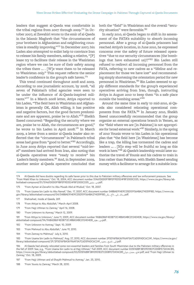leaders that suggest al-Qaeda was comfortable in the tribal regions from 2007 through 2009.<sup>174</sup> In October 2007, al Zawahiri wrote to the emir of al-Qaeda in the Islamic Maghreb that "the circumstances of your brothers in Afghanistan and neighboring countries is steadily improving."<sup>175</sup> In December 2007, bin Laden also attempted to enlist help to convince Iran to release his family members, asking a relative, "[P] lease try to facilitate their release in the Waziristan region where we can be sure of their safety among the tribes there … . [W]e want them to be released to Waziristan only." This request reflects the senior leader's confidence in the group's safe haven.<sup>176</sup>

This trend continued throughout 2008 and 2009. According to one journalistic account, by 2008, "all seven of Pakistan's tribal agencies were seen to be under the influence of Al-Qaeda-inspired militants."<sup>177</sup> In a March 2008 letter, Attiya reported to bin Laden, "The field here in Waziristan and Afghanistan is generally OK, Allah willing, it has positive and negative factors, but the good factors predominate and are apparent, praise be to Allah."<sup>178</sup> Sheikh Saeed concurred: "Regarding the security where we are, praise be to Allah, the circumstances are good," he wrote to bin Laden in April 2008.<sup>179</sup> In March 2009, a letter from a senior al-Qaeda leader also reflected that the "circumstances" in Pakistan's tribal areas had gone from "good to better."<sup>180</sup> Accordingly, in June 2009 Attiya reported that several "mid-level" members had arrived from Iran, also noting that al-Qaeda operatives were "ready to receive" bin Laden's family members.<sup>181</sup> And, in September 2009, another senior al-Qaeda operative concluded that

both the "field" in Waziristan and the overall "security situation" were favorable.<sup>182</sup>

In early 2010, al-Qaeda began to shift in its assessment of the FATA's suitability to absorb incoming personnel. After a group of al-Qaeda prisoners had reached Attiya's location, in June 2010, he expressed concerns over the safety of future released operatives "due to our security circumstances (the bombings that have exhausted us)!!"<sup>183</sup> Bin Laden still refused to redirect all incoming personnel from the FATA, referring to new cadres as a "lifeline and replacement for those we have lost" and recommending simply shortening the orientation period for new personnel in Waziristan.<sup>184</sup> Bin Laden seemed to apply different standards for the group's experienced operatives arriving from Iran, though, instructing Attiya in August 2010 to keep them "in a safe place outside the bombing areas."<sup>185</sup>

Around the same time in early to mid-2010, al-Qaeda also considered relocating operational components from the FATA.<sup>186</sup> In January 2010, Sheikh Saeed unsuccessfully recommended that the group organize an external operations branch in Yemen, as the "field where we are [in Pakistan] is not appropriate for broad external work."<sup>187</sup> Similarly, in the spring of 2010 Younis wrote to bin Laden in his operational plan that "the field here [in Waziristan] has become like a trap, the killing has tormented the cadres and leaders … . [N]o step will be fruitful so long as this work is here."188 Al-Qaeda's leadership would later authorize the travel of Younis and his cadres to train in Iran rather than Pakistan, with Sheikh Saeed sending money with a facilitator to arrange for a suitable loca-

- 178 "From Attiya to Abu Abdullah," March–April 2008.
- 179 "From Hajji Uthman to Zamray," April 16, 2008.
- 180 "From Unknown to Azmray," March 12, 2009.
- 181 "From Attiya to Unknown," June 11, 2009, ACC document number 9ABADB6F4E0B712C48BA54BC0124D4D8, [https://www.cia.gov/library/](https://www.cia.gov/library/abbottabad-compound/9A/9ABADB6F4E0B712C48BA54BC0124D4D8_من_عطية.pdf) [abbottabad-compound/9A/9ABADB6F4E0B712C48BA54BC0124D4D8\\_](https://www.cia.gov/library/abbottabad-compound/9A/9ABADB6F4E0B712C48BA54BC0124D4D8_من_عطية.pdf)عطية\_من.pdf.
- 182 "From Unknown to Azmray," Sept. 10, 2009.
- 183 "From Mahmud to Abu Abdullah," June 19, 2010.
- 184 "From Zamray to Mahmud," July 6, 2010.

- 187 "From Hajji Uthman and al-Shaykh Mahmud to Azmray," Jan. 25, 2010.
- 188 "From Younis to Zamray," March 28, 2010.

<sup>174</sup> Al-Qaeda did have doubts regarding its safe haven prior to this due to Pakistani military offensives and law enforcement pressure. See "From Wakil Khan to Unknown," Oct. 18, 2004, ACC document number 51A61D0D0F9BFEF9E0524F8F2000C035, [https://www.cia.gov/library/ab](https://www.cia.gov/library/abbottabad-compound/51/51A61D0D0F9BFEF9E0524F8F2000C035_من_توفيق.pdf)[bottabad-compound/51/51A61D0D0F9BFEF9E0524F8F2000C035\\_](https://www.cia.gov/library/abbottabad-compound/51/51A61D0D0F9BFEF9E0524F8F2000C035_من_توفيق.pdf)توفيق\_من.pdf.

<sup>175 &</sup>quot;From Ayman al-Zawahiri to Abu Musab Abd al-Wudud," Oct. 18, 2007.

<sup>176 &</sup>quot;From Usama bin Ladin to Abu Nawaf," Dec. 17, 2007, ACC document number 048BAE914E9C05D51F564BA274059F8D, [https://www.cia.](https://www.cia.gov/library/abbottabad-compound/04/048BAE914E9C05D51F564BA274059F8D_رسالة_إلى_الأخ_بكر.pdf) [gov/library/abbottabad-compound/04/048BAE914E9C05D51F564BA274059F8D\\_](https://www.cia.gov/library/abbottabad-compound/04/048BAE914E9C05D51F564BA274059F8D_رسالة_إلى_الأخ_بكر.pdf)بسالقيالي\_الأخيسكر\_philotary/abbottabad-compound/04/048BAE914E9C05D51F564BA274059F8D

<sup>177</sup> Shahzahad, *Inside al Qaeda*, 269.

<sup>185 &</sup>quot;From Usama bin Ladin to Mahmud," Aug. 27, 2010, ACC document number 2F5D16FBA36196AF5A7C6D5FADC6C241, [https://www.cia.gov/](https://www.cia.gov/library/abbottabad-compound/2F/2F5D16FBA36196AF5A7C6D5FADC6C241_إلى_الشيخ_محمود.pdf) [library/abbottabad-compound/2F/2F5D16FBA36196AF5A7C6D5FADC6C241\\_](https://www.cia.gov/library/abbottabad-compound/2F/2F5D16FBA36196AF5A7C6D5FADC6C241_إلى_الشيخ_محمود.pdf)محمود\_الشيخ\_إلى.pdf.

<sup>186</sup> Al-Qaeda had already relocated some non-essential leaders and families from South Waziristan due to the Pakistani military offensives in the fall of 2009. See, e.g., "From Usama bin Ladin to al-Hajj Uthman," Fall 2009, ACC document number E05FA88F3B10901837CD08FE72A1ACB5, [https://www.cia.gov/library/abbottabad-compound/E0/E05FA88F3B10901837CD08FE72A1ACB5\\_](https://www.cia.gov/library/abbottabad-compound/E0/E05FA88F3B10901837CD08FE72A1ACB5_الحاج_عثمان_شوال.pdf)شوال\_عثمان\_احلاج.pdf; and "From Hajji Uthman to Zamray," Oct. 18, 2009.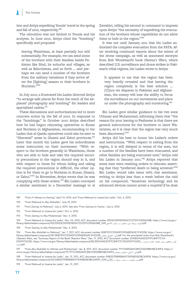tion and Attiya expediting Younis' travel in the spring and fall of 2010, respectively.<sup>189</sup>

The relocation was not limited to Younis and his acolytes. In June 2010, Attiya cited the "bombing" specifically and proposed

leaving Waziristan, at least partially but still substantially. For example, we can send some of the brothers with their families inside Pakistan like Sind, its suburbs and villages, as well as Baluchistan, and so forth … and perhaps we can send a number of the brothers from the military battalions if they arrive after the [fighting] season to their brothers in Nuristan."<sup>190</sup>

In July 2010, a frustrated bin Laden directed Attiya "to arrange safe places far from the reach of the airplanes' photography and bombing" for leaders and specialized cadres.<sup>191</sup>

These discussions and authorizations led to more concrete action by the fall of 2010. In response to the "bombings," in October 2010 Attiya described how he had begun relocating operatives to Kunar and Nuristan in Afghanistan, recommending to bin Laden that al-Qaeda operatives could also be sent to "liberated" areas in Ghazni and Zabul provinces.<sup>192</sup> Later that month bin Laden gave his subordinates some instruction on their movement: "With respect to the brothers generally in Waziristan, those who are able to hide and take the required security precautions in the region should stay in it, and with respect to those for whom hiding and taking the required precautions is difficult, the other option is for them to go to Nuristan in Kunar, Ghazni, or Zabul."<sup>193</sup> In November, Attiya wrote that he was complying with these orders.<sup>194</sup> Bin Laden conveyed a similar sentiment in a December message to al

Zawahiri, telling his second in command to impress upon Attiya "the necessity of expediting the evacuation of the brothers whose capabilities do not allow them to hide in the region."<sup>195</sup>

It was not until January 2011 that bin Laden authorized the complete evacuation from the FATA. After receiving continued reports about the extent of the drone campaign, as well as annotated excerpts from Bob Woodward's book *Obama's Wars*, which described U.S. surveillance and drone strikes in Pakistan's tribal regions, bin Laden wrote to Attiya:

It appears to me that the region has been very heavily revealed and that leaving the region completely is the best solution … [O]nce we disperse in Pakistan and Afghanistan, the enemy will lose the ability to focus the surveillance on our movements and place us under the photography and monitoring.<sup>196</sup>

Bin Laden gave similar guidance to his two sons Uthman and Muhammad, informing them that "the reason for your leaving to Peshawar is that there are general instructions for the brothers to leave Waziristan, as it is clear that the region has very much been discovered."<sup>197</sup>

Attiya did his best to honor bin Laden's orders and instructions. "With respect to exiting from the region, it is still delayed in terms of the men, but a number of the families have been evacuated, and other families are being evacuated now," Attiya told bin Laden in January 2011.<sup>198</sup> Attiya reported that some men were resisting orders to relocate, asserting that they "preferred death to being arrested."<sup>199</sup> Bin Laden would take issue with this sentiment, writing to Attiya less than a week before the raid on his compound, "American technology and its advanced devices cannot arrest a *mujahid* if he does

189 "From H Uthman to Azmray," April 14, 2010; and "From Mahmud to Usama bin Ladin," Oct. 6, 2010.

- 190 "From Mahmud to Abu Abdullah," June 19, 2010.
- 191 "From Zamray to Mahmud," July 6, 2010. See also "From Zamray to Younis," July 6, 2010.
- 192 "From Mahmud to Usama bin Ladin," Oct. 6, 2010.
- 193 "From Zamray to Abu Muhammad," Dec. 4, 2010.

194 "From Mahmud to Usama bin Ladin," Nov. 24, 2010, ACC document number DD53CD095E182ACF2211D112355602B8, [https://www.cia.gov/](https://www.cia.gov/library/abbottabad-compound/DD/DD53CD095E182ACF2211D112355602B8_أجوبة_سريعة_من_محمود_ــ_عيد_الأضحى1431.pdf) .ibrary/abbottabad-compound/DD/DD53CD095E182ACF2211D112355602B8\_1341اجوبة\_سريعة\_من\_محمود\_مستعيد\_الأضحى1341

195 "From Zamray to Abu Muhammad," Dec. 4, 2010.

196 "From Abu Abdullah to Mahmud," Jan. 7, 2011, ACC document number 0EB79CFC51DA5F229D6B5565C374322B, [https://www.cia.gov/](https://www.cia.gov/library/abbottabad-compound/0E/0EB79CFC51DA5F229D6B5565C374322B_إلى_الشيخ_محمود.pdf) library/abbottabad-compound/0E/0EB79CFC51DA5F229D6B5565C3743228\_بالىــالشبخــمحمود\_pdf. For the annotated notes from Bob Woodward's<br>Obama's Wars, see "Summary Report of the Book Obama's Wars," Dec. 11, 2010, ACC document D292971A25D, [https://www.cia.gov/library/abbottabad-compound/EE/EEFA3AE2D7FFC84F77C7AD292971A25D\\_](https://www.cia.gov/library/abbottabad-compound/EE/EEFA3AE2D7FFC84F77C7AD292971A25D_تقرير_ملخص_عن_مقدمة_كتاب_حروب_أوباما.pdf)\_حروب\_كتاب\_مقدمة\_عن\_ملخص\_تقرير [.pdf.](https://www.cia.gov/library/abbottabad-compound/EE/EEFA3AE2D7FFC84F77C7AD292971A25D_تقرير_ملخص_عن_مقدمة_كتاب_حروب_أوباما.pdf)أوباما

197 "From Abu Abdullah to Uthman and Muhammad," Jan. 8, 2011, ACC document number 7F17230E0A01CB5C01D01BB1ABCE4993, [https://](https://www.cia.gov/library/abbottabad-compound/7F/7F17230E0A01CB5C01D01BB1ABCE4993_إلى_أبنائي_عثمان_ومحمد.pdf) .<br>.pdf إلى\_أبنائي\_عثمان\_ومحمد\_cia.gov/library/abbottabad-compound/7F/7F17230E0A01CB5C01D01BB1ABCE4993.

198 "From Mahmud to Usama bin Ladin," Jan. 21, 2011, ACC document number 00B25759B9EBA0171E9D8D5E5BC659D9, [https://www.cia.gov/](https://www.cia.gov/library/abbottabad-compound/00/00B25759B9EBA0171E9D8D5E5BC659D9_من_محمود_ـ_ردود_سريعة_ـ_20صفر1432.pdf) [library/abbottabad-compound/00/00B25759B9EBA0171E9D8D5E5BC659D9\\_2341](https://www.cia.gov/library/abbottabad-compound/00/00B25759B9EBA0171E9D8D5E5BC659D9_من_محمود_ـ_ردود_سريعة_ـ_20صفر1432.pdf)صفر02\_ـ\_سريعة\_ردود\_ـ\_محمود\_من.pdf.

199 "From Mahmud to Usama bin Ladin," Jan. 21, 2011.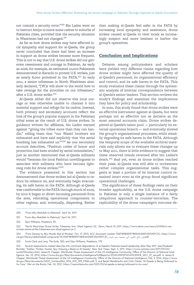not commit a security error."<sup>200</sup> Bin Laden went on to instruct Attiya to move some cadres to suburbs of Pakistani cities, provided that the security situation in Waziristan had not changed.<sup>201</sup>

As far as how drone strikes may have affected local sympathy and support for al-Qaeda, the group never concluded that there had been an increase in support as drone strikes became more frequent. This is not to say that U.S. drone strikes did not generate resentment and outrage in Pakistan. As early as 2006, for example, an estimated 10,000 Pakistanis demonstrated in Karachi to protest U.S. strikes, just as nearly 8,000 protested in the FATA.<sup>202</sup> In early 2011, a senior tribesman in North Waziristan similarly declared, "[W]e will show to the world how to take revenge for the atrocities on our tribesmen," after a U.S. drone strike*.* 203

Al-Qaeda either did not observe this local outrage or was otherwise unable to channel it into material support and refuge for its cadres. Instead, both primary and secondary accounts reflect the loss of the group's popular support in the Pakistani tribal areas as the result of U.S. drone strikes. In guidance written for affiliates, bin Laden warned against "giving the tribes more than they can handle," telling them that "our Waziri brothers are exhausted and have said explicitly that 'the aerial bombing has exhausted us."<sup>204</sup> As one secondary account describes, "Pashtun codes of honor and protection had been eroded by aerial intimidation," just as another mentioned that al-Qaeda militants would "bemoan the local Pashtun unwillingness to associate with militants who have become lightning rods for drone strikes."<sup>205</sup>

The evidence presented in this section has demonstrated that drone strikes led al-Qaeda to reduce its reliance on, and eventually begin evacuating, its safe haven in the FATA. Although al-Qaeda was comfortable in the FATA through much of 2009, by 2010 it began to divert incoming personnel from the area, relocating operational components to other regions, and, eventually, dispersing. Rather

than making al-Qaeda feel safer in the FATA by increasing local sympathy and assistance, drone strikes caused al-Qaeda to view locals as increasingly suspect and more hesitant to harbor the group's operatives.

## **Conclusion and Implications**

Debates among policymakers and scholars have yielded very different claims regarding how drone strikes might have affected the quality of al-Qaeda's personnel, its organizational efficiency and control, and its safe haven in the FATA. This study evaluated these claims through the systematic analysis of internal correspondence between al-Qaeda's senior leaders. This section reviews the study's findings and examines the implications they have for policy and scholarship.

In sum, this study found that drone strikes were an effective instrument against al-Qaeda, but were perhaps not as effective nor as decisive as the most assured accounts claim. Drone strikes depleted al-Qaeda's talent pool — particularly its external operations branch — and eventually slowed the group's organizational processes, while steadily degrading its safe haven in the FATA. Although the temporal scope of the available archival materials only allows me to evaluate these changes up to May 2011, there is little evidence to suggest that these observed trends reversed after bin Laden's death.<sup>206</sup> And yet, even as drone strikes reached their peak, al-Qaeda was still able to orchestrate rather complex organizational tasks. This suggests at least a portion of its internal control remained intact even as the group faced significant operational challenges.

The significance of these findings rests on their broader applicability, as the U.S. drone campaign in Pakistan is only a single instance of a fairly ubiquitous approach to counter-terrorism. The replicability of the drone campaign's outcome de-

<sup>200 &</sup>quot;From Abu Abdullah to Mahmud," April 26, 2011.

<sup>201 &</sup>quot;From Abu Abdullah to Mahmud," April 26, 2011.

<sup>202</sup> Glyn Williams, *Predators*, 55.

<sup>203 &</sup>quot;North Waziristan Drone Strike: Tribesmen Vow 'Jihad' Against US," *Dawn*, March 19, 2011, [https://www.dawn.com/news/614296/n-wa](https://www.dawn.com/news/614296/n-waziristan-drone-strike-tribesmen-vow-jihad-against-us-2)[ziristan-drone-strike-tribesmen-vow-jihad-against-us-2](https://www.dawn.com/news/614296/n-waziristan-drone-strike-tribesmen-vow-jihad-against-us-2).

<sup>204 &</sup>quot;From Zamray to Abu Musab Abd al-Wudud," Oct. 17, 2010, ACC document number 15AF1B1B0E9F780EAA340F332A1EFC2C, [https://www.](https://www.cia.gov/library/abbottabad-compound/15/15AF1B1B0E9F780EAA340F332A1EFC2C_إلى_الأخ_الكريم_أبي_مصعب_عبد_الودود.pdf) [cia.gov/library/abbottabad-compound/15/15AF1B1B0E9F780EAA340F332A1EFC2C\\_](https://www.cia.gov/library/abbottabad-compound/15/15AF1B1B0E9F780EAA340F332A1EFC2C_إلى_الأخ_الكريم_أبي_مصعب_عبد_الودود.pdf)الودود\_عبد\_مصعب\_أبي\_الكرمي\_األخ\_إلى.pdf.

<sup>205</sup> Scott-Clark and Levy, *The Exile*, 350; and Glyn Williams, *Predators*, 179.

<sup>206</sup> Several assessments indeed describe the continued degradation of al-Qaeda's Pakistan-based leadership after May 2011. See Elisabeth Bumiller, "Soldier, Thinker, Hunter, Spy: Drawing a Bead on Al Qaeda," *New York Times*, Sept. 3, 2011, [https://www.nytimes.com/2011/09/04/](https://www.nytimes.com/2011/09/04/world/04vickers.html) [world/04vickers.html;](https://www.nytimes.com/2011/09/04/world/04vickers.html) James R. Clapper, *Worldwide Threat Assessment of the US Intelligence Community*, Office of the Director of National Intelligence, Jan. 29, 2014, [https://www.dni.gov/files/documents/Intelligence%20Reports/2014%20WWTA%20%20SFR\\_SSCI\\_29\\_Jan.pdf](https://www.dni.gov/files/documents/Intelligence%20Reports/2014%20WWTA%20%20SFR_SSCI_29_Jan.pdf), 4; James R. Clapper, *Worldwide Threat Assessment of the US Intelligence Community*, Office of the Director of National Intelligence, Feb. 9, 2016, [https://www.](https://www.dni.gov/files/documents/SASC_Unclassified_2016_ATA_SFR_FINAL.pdf) [dni.gov/files/documents/SASC\\_Unclassified\\_2016\\_ATA\\_SFR\\_FINAL.pdf](https://www.dni.gov/files/documents/SASC_Unclassified_2016_ATA_SFR_FINAL.pdf), 5; and Barak Mendelsohn and Colin Clarke, "Al-Qaeda Is Being Hollowed to Its Core," *War on the Rocks*, Feb. 24, 2021,<https://warontherocks.com/2021/02/al-qaeda-is-being-hollowed-to-its-core/>.